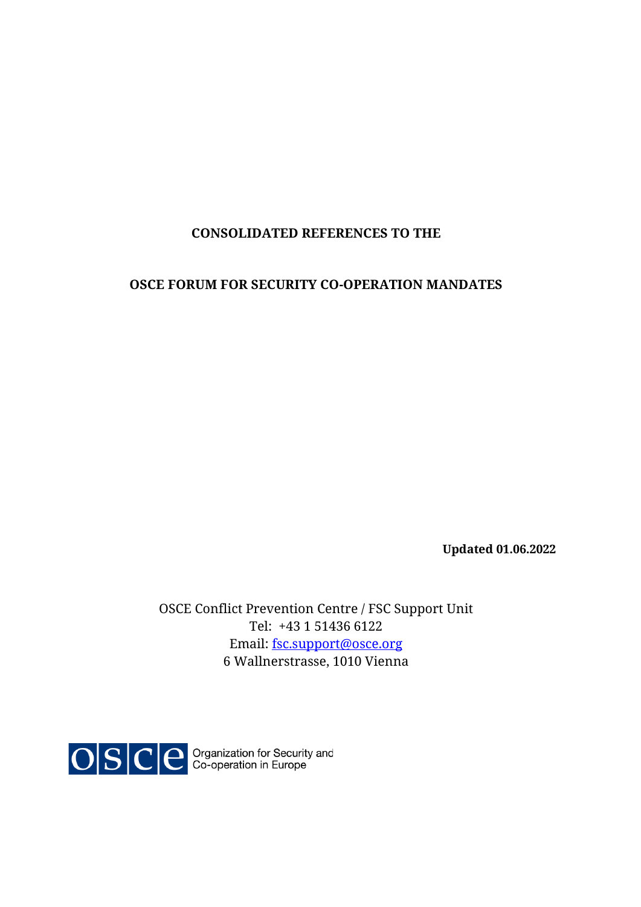## **CONSOLIDATED REFERENCES TO THE**

### **OSCE FORUM FOR SECURITY CO-OPERATION MANDATES**

**Updated 01.06.2022**

OSCE Conflict Prevention Centre / FSC Support Unit Tel: +43 1 51436 6122 Email: [fsc.support@osce.org](mailto:fsc.support@osce.org) 6 Wallnerstrasse, 1010 Vienna

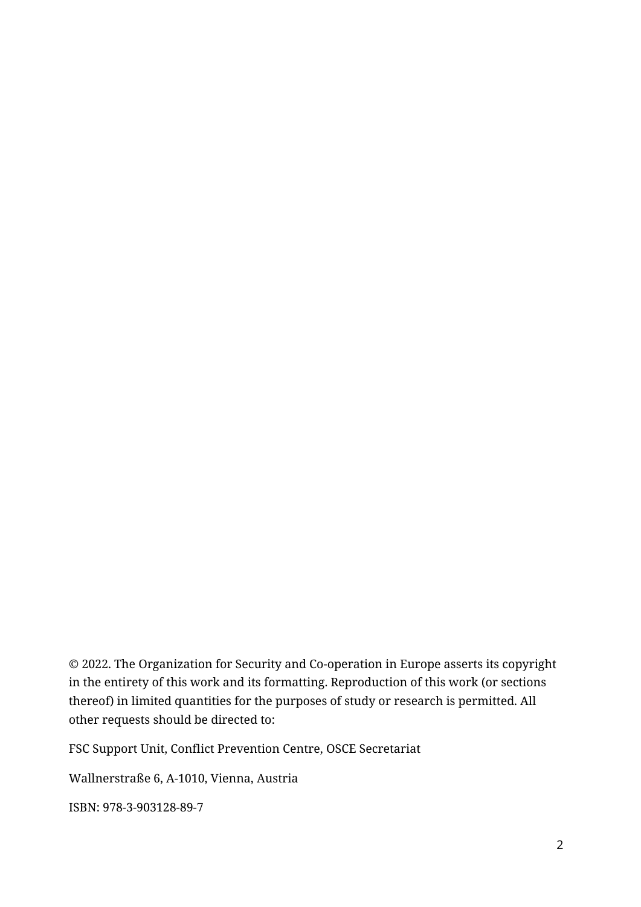© 2022. The Organization for Security and Co-operation in Europe asserts its copyright in the entirety of this work and its formatting. Reproduction of this work (or sections thereof) in limited quantities for the purposes of study or research is permitted. All other requests should be directed to:

FSC Support Unit, Conflict Prevention Centre, OSCE Secretariat

Wallnerstraße 6, A-1010, Vienna, Austria

ISBN: 978-3-903128-89-7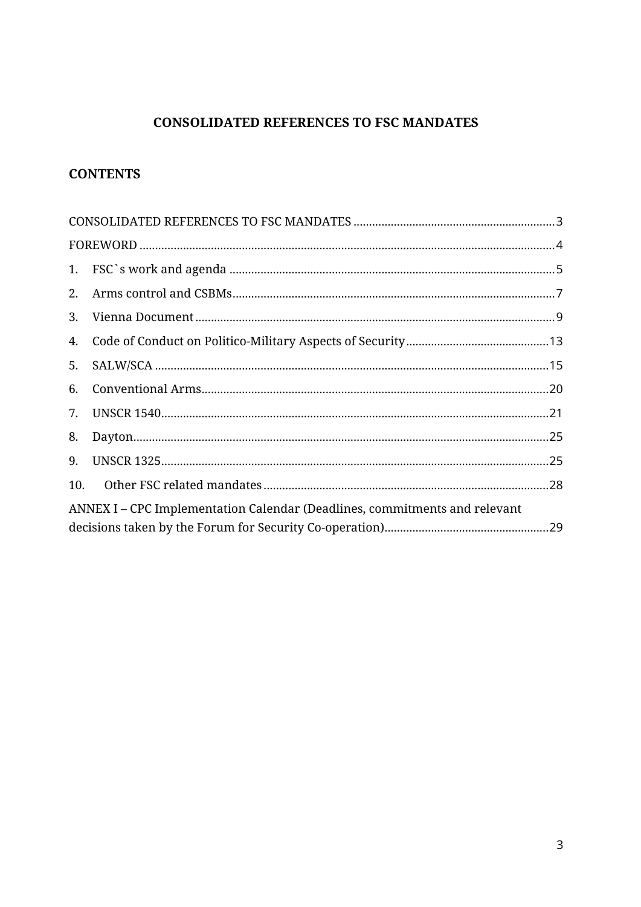# **CONSOLIDATED REFERENCES TO FSC MANDATES**

# <span id="page-2-0"></span>**CONTENTS**

| 2.  |                                                                            |  |
|-----|----------------------------------------------------------------------------|--|
| 3.  |                                                                            |  |
| 4.  |                                                                            |  |
| 5.  |                                                                            |  |
| 6.  |                                                                            |  |
| 7.  |                                                                            |  |
| 8.  |                                                                            |  |
| 9.  |                                                                            |  |
| 10. |                                                                            |  |
|     | ANNEX I – CPC Implementation Calendar (Deadlines, commitments and relevant |  |
|     |                                                                            |  |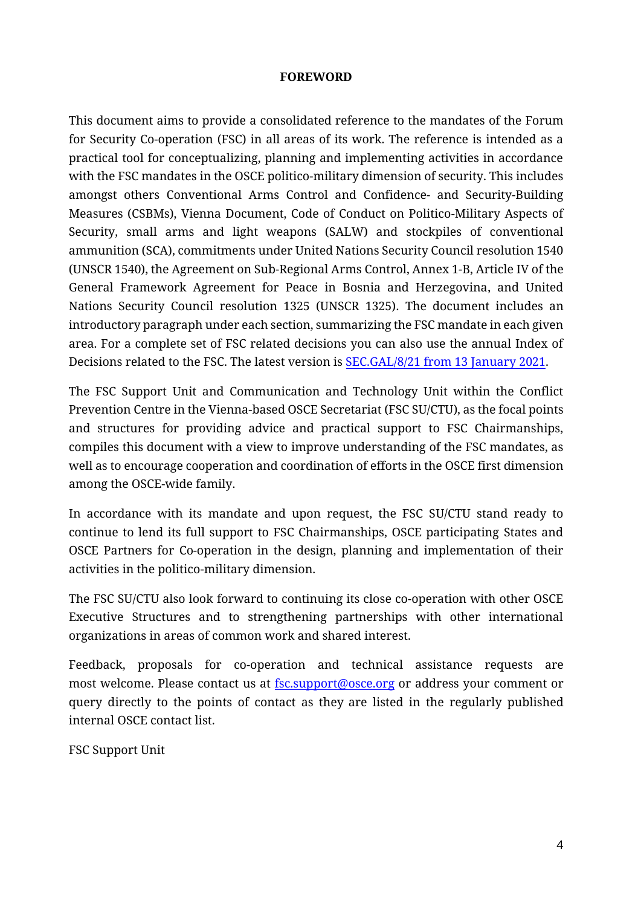#### **FOREWORD**

<span id="page-3-0"></span>This document aims to provide a consolidated reference to the mandates of the Forum for Security Co-operation (FSC) in all areas of its work. The reference is intended as a practical tool for conceptualizing, planning and implementing activities in accordance with the FSC mandates in the OSCE politico-military dimension of security. This includes amongst others Conventional Arms Control and Confidence- and Security-Building Measures (CSBMs), Vienna Document, Code of Conduct on Politico-Military Aspects of Security, small arms and light weapons (SALW) and stockpiles of conventional ammunition (SCA), commitments under United Nations Security Council resolution 1540 (UNSCR 1540), the Agreement on Sub-Regional Arms Control, Annex 1-B, Article IV of the General Framework Agreement for Peace in Bosnia and Herzegovina, and United Nations Security Council resolution 1325 (UNSCR 1325). The document includes an introductory paragraph under each section, summarizing the FSC mandate in each given area. For a complete set of FSC related decisions you can also use the annual Index of Decisions related to the FSC. The latest version is [SEC.GAL/8/21 from 13 January 2021.](https://www.google.com/url?client=internal-element-cse&cx=016235372030844727130:fs_f_dbyv08&q=https://www.osce.org/files/f/documents/1/f/30215_2.pdf&sa=U&ved=2ahUKEwjW8YPRq9nzAhUsgf0HHQeACYsQFnoECAAQAQ&usg=AOvVaw0tGCSlz3Ic_8exUPZD9O3g)

The FSC Support Unit and Communication and Technology Unit within the Conflict Prevention Centre in the Vienna-based OSCE Secretariat (FSC SU/CTU), as the focal points and structures for providing advice and practical support to FSC Chairmanships, compiles this document with a view to improve understanding of the FSC mandates, as well as to encourage cooperation and coordination of efforts in the OSCE first dimension among the OSCE-wide family.

In accordance with its mandate and upon request, the FSC SU/CTU stand ready to continue to lend its full support to FSC Chairmanships, OSCE participating States and OSCE Partners for Co-operation in the design, planning and implementation of their activities in the politico-military dimension.

The FSC SU/CTU also look forward to continuing its close co-operation with other OSCE Executive Structures and to strengthening partnerships with other international organizations in areas of common work and shared interest.

Feedback, proposals for co-operation and technical assistance requests are most welcome. Please contact us a[t fsc.support@osce.org](mailto:fsc.support@osce.org) or address your comment or query directly to the points of contact as they are listed in the regularly published internal OSCE contact list.

FSC Support Unit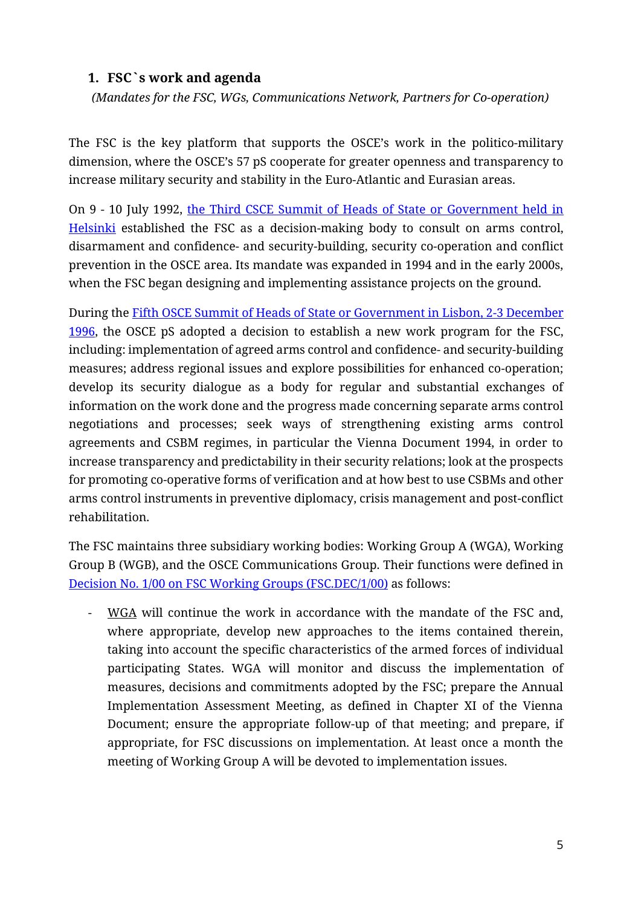## <span id="page-4-0"></span>**1. FSC`s work and agenda**

*(Mandates for the FSC, WGs, Communications Network, Partners for Co-operation)*

The FSC is the key platform that supports the OSCE's work in the politico-military dimension, where the OSCE's 57 pS cooperate for greater openness and transparency to increase military security and stability in the Euro-Atlantic and Eurasian areas.

On 9 - 10 July 1992, [the Third CSCE Summit of Heads of State or Government](https://www.osce.org/mc/39530) held in [Helsinki](https://www.osce.org/mc/39530) established the FSC as a decision-making body to consult on arms control, disarmament and confidence- and security-building, security co-operation and conflict prevention in the OSCE area. Its mandate was expanded in 1994 and in the early 2000s, when the FSC began designing and implementing assistance projects on the ground.

During th[e Fifth OSCE Summit of Heads of State or Government in Lisbon, 2-3 December](https://www.osce.org/mc/39539)  [1996,](https://www.osce.org/mc/39539) the OSCE pS adopted a decision to establish a new work program for the FSC, including: implementation of agreed arms control and confidence- and security-building measures; address regional issues and explore possibilities for enhanced co-operation; develop its security dialogue as a body for regular and substantial exchanges of information on the work done and the progress made concerning separate arms control negotiations and processes; seek ways of strengthening existing arms control agreements and CSBM regimes, in particular the Vienna Document 1994, in order to increase transparency and predictability in their security relations; look at the prospects for promoting co-operative forms of verification and at how best to use CSBMs and other arms control instruments in preventive diplomacy, crisis management and post-conflict rehabilitation.

The FSC maintains three subsidiary working bodies: Working Group A (WGA), Working Group B (WGB), and the OSCE Communications Group. Their functions were defined in [Decision No. 1/00 on FSC Working Groups](https://www.osce.org/files/f/documents/d/1/27619.pdf) (FSC.DEC/1/00) as follows:

- WGA will continue the work in accordance with the mandate of the FSC and, where appropriate, develop new approaches to the items contained therein, taking into account the specific characteristics of the armed forces of individual participating States. WGA will monitor and discuss the implementation of measures, decisions and commitments adopted by the FSC; prepare the Annual Implementation Assessment Meeting, as defined in Chapter XI of the Vienna Document; ensure the appropriate follow-up of that meeting; and prepare, if appropriate, for FSC discussions on implementation. At least once a month the meeting of Working Group A will be devoted to implementation issues.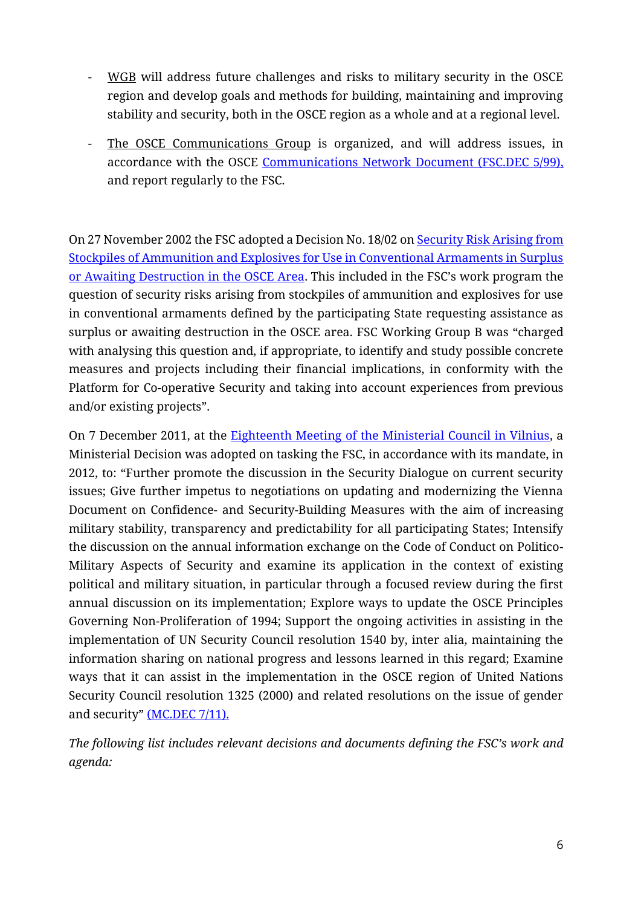- WGB will address future challenges and risks to military security in the OSCE region and develop goals and methods for building, maintaining and improving stability and security, both in the OSCE region as a whole and at a regional level.
- The OSCE Communications Group is organized, and will address issues, in accordance with the OSCE [Communications Network Document](https://www.osce.org/fsc/29839) (FSC.DEC 5/99), and report regularly to the FSC.

On 27 November 2002 the FSC adopted a Decision No. 18/02 on Security Risk Arising from [Stockpiles of Ammunition and Explosives for Use in Conventional Armaments in Surplus](https://www.osce.org/files/f/documents/3/4/13533.pdf)  [or Awaiting Destruction in the OSCE Area](https://www.osce.org/files/f/documents/3/4/13533.pdf). This included in the FSC's work program the question of security risks arising from stockpiles of ammunition and explosives for use in conventional armaments defined by the participating State requesting assistance as surplus or awaiting destruction in the OSCE area. FSC Working Group B was "charged with analysing this question and, if appropriate, to identify and study possible concrete measures and projects including their financial implications, in conformity with the Platform for Co-operative Security and taking into account experiences from previous and/or existing projects".

On 7 December 2011, at the [Eighteenth Meeting of the Ministerial Council in Vilnius,](https://www.osce.org/files/f/documents/7/d/86531.pdf) a Ministerial Decision was adopted on tasking the FSC, in accordance with its mandate, in 2012, to: "Further promote the discussion in the Security Dialogue on current security issues; Give further impetus to negotiations on updating and modernizing the Vienna Document on Confidence- and Security-Building Measures with the aim of increasing military stability, transparency and predictability for all participating States; Intensify the discussion on the annual information exchange on the Code of Conduct on Politico-Military Aspects of Security and examine its application in the context of existing political and military situation, in particular through a focused review during the first annual discussion on its implementation; Explore ways to update the OSCE Principles Governing Non-Proliferation of 1994; Support the ongoing activities in assisting in the implementation of UN Security Council resolution 1540 by, inter alia, maintaining the information sharing on national progress and lessons learned in this regard; Examine ways that it can assist in the implementation in the OSCE region of United Nations Security Council resolution 1325 (2000) and related resolutions on the issue of gender and security" [\(MC.DEC](https://www.osce.org/files/f/documents/7/d/86531.pdf) 7/11).

*The following list includes relevant decisions and documents defining the FSC's work and agenda:*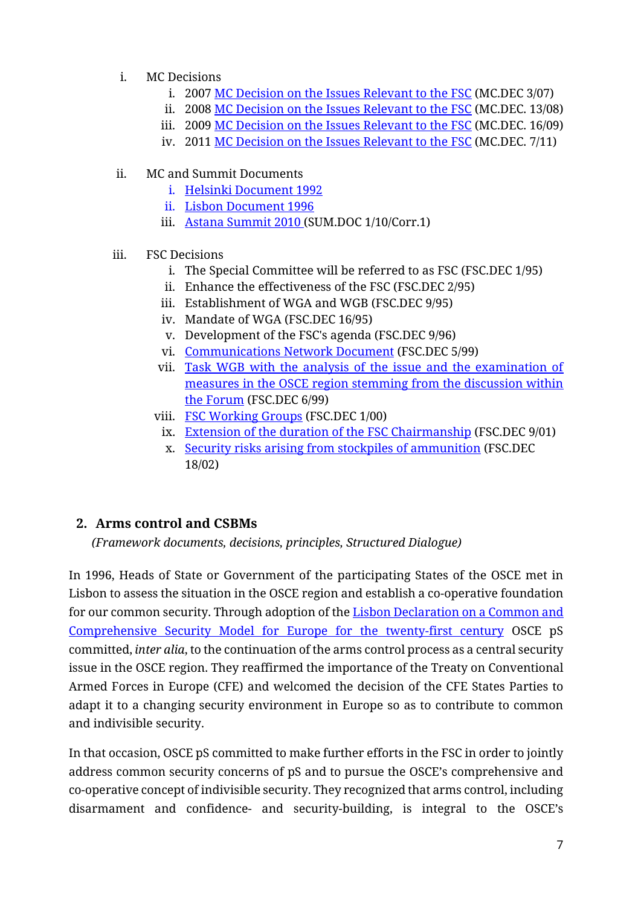- i. MC Decisions
	- i. 2007 [MC Decision on the Issues Relevant to the FSC](https://www.osce.org/mc/29556) (MC.DEC 3/07)
	- ii. 2008 MC Decision [on the Issues Relevant to the FSC](https://www.osce.org/mc/35532) (MC.DEC. 13/08)
	- iii. 2009 [MC Decision on the Issues Relevant to the FSC](https://www.osce.org/cio/40698) (MC.DEC. 16/09)
	- iv. 2011 [MC Decision on the Issues Relevant to the FSC](https://www.osce.org/mc/86531) (MC.DEC. 7/11)

## ii. MC and Summit Documents

- i. [Helsinki Document 1992](https://www.osce.org/mc/39530)
- ii. [Lisbon Document 1996](https://www.osce.org/mc/39539)
- iii. [Astana Summit 2010](https://www.osce.org/mc/74985) (SUM.DOC 1/10/Corr.1)

### iii. FSC Decisions

- i. The Special Committee will be referred to as FSC (FSC.DEC 1/95)
- ii. Enhance the effectiveness of the FSC (FSC.DEC 2/95)
- iii. Establishment of WGA and WGB (FSC.DEC 9/95)
- iv. Mandate of WGA (FSC.DEC 16/95)
- v. Development of the FSC's agenda (FSC.DEC 9/96)
- vi. [Communications Network Document](https://www.osce.org/fsc/29839) (FSC.DEC 5/99)
- vii. [Task WGB with the analysis of the issue and the examination of](https://www.osce.org/fsc/29773)  [measures in the OSCE region stemming from the discussion within](https://www.osce.org/fsc/29773)  [the Forum](https://www.osce.org/fsc/29773) (FSC.DEC 6/99)
- viii. [FSC Working Groups](https://www.osce.org/fsc/27619) (FSC.DEC 1/00)
	- ix. [Extension of the duration of the FSC Chairmanship](https://www.osce.org/de/fsc/22392) (FSC.DEC 9/01)
	- x. [Security risks arising from stockpiles of ammunition](https://www.osce.org/fsc/13533) (FSC.DEC 18/02)

# <span id="page-6-0"></span>**2. Arms control and CSBMs**

*(Framework documents, decisions, principles, Structured Dialogue)*

In 1996, Heads of State or Government of the participating States of the OSCE met in Lisbon to assess the situation in the OSCE region and establish a co-operative foundation for our common security. Through adoption of th[e Lisbon Declaration on a Common and](https://www.osce.org/files/f/documents/1/0/39539.pdf)  [Comprehensive Security Model for Europe for the twenty-first century](https://www.osce.org/files/f/documents/1/0/39539.pdf) OSCE pS committed, *inter alia*, to the continuation of the arms control process as a central security issue in the OSCE region. They reaffirmed the importance of the Treaty on Conventional Armed Forces in Europe (CFE) and welcomed the decision of the CFE States Parties to adapt it to a changing security environment in Europe so as to contribute to common and indivisible security.

In that occasion, OSCE pS committed to make further efforts in the FSC in order to jointly address common security concerns of pS and to pursue the OSCE's comprehensive and co-operative concept of indivisible security. They recognized that arms control, including disarmament and confidence- and security-building, is integral to the OSCE's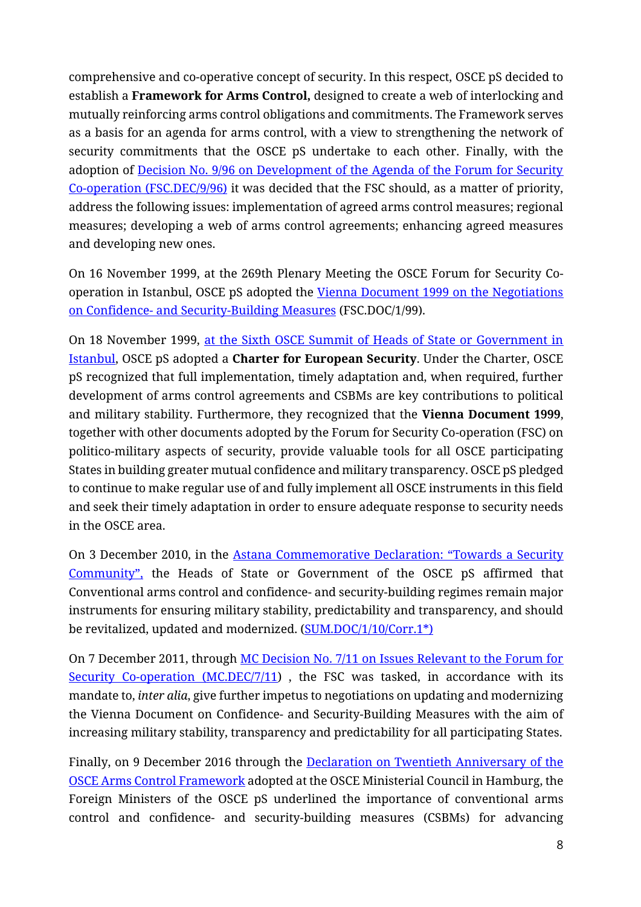comprehensive and co-operative concept of security. In this respect, OSCE pS decided to establish a **Framework for Arms Control,** designed to create a web of interlocking and mutually reinforcing arms control obligations and commitments. The Framework serves as a basis for an agenda for arms control, with a view to strengthening the network of security commitments that the OSCE pS undertake to each other. Finally, with the adoption of Decision No. 9/96 on Development of the Agenda of the Forum for Security Co-operation [\(FSC.DEC/9/96\)](https://www.osce.org/files/f/documents/1/0/39539.pdf) it was decided that the FSC should, as a matter of priority, address the following issues: implementation of agreed arms control measures; regional measures; developing a web of arms control agreements; enhancing agreed measures and developing new ones.

On 16 November 1999, at the 269th Plenary Meeting the OSCE Forum for Security Cooperation in Istanbul, OSCE pS adopted the [Vienna Document 1999 on the Negotiations](https://www.osce.org/files/f/documents/b/2/41276.pdf)  on Confidence- [and Security-Building Measures](https://www.osce.org/files/f/documents/b/2/41276.pdf) (FSC.DOC/1/99).

On 18 November 1999, [at the Sixth OSCE Summit of Heads of State or Government in](https://www.osce.org/files/f/documents/6/5/39569.pdf)  [Istanbul,](https://www.osce.org/files/f/documents/6/5/39569.pdf) OSCE pS adopted a **Charter for European Security**. Under the Charter, OSCE pS recognized that full implementation, timely adaptation and, when required, further development of arms control agreements and CSBMs are key contributions to political and military stability. Furthermore, they recognized that the **Vienna Document 1999**, together with other documents adopted by the Forum for Security Co-operation (FSC) on politico-military aspects of security, provide valuable tools for all OSCE participating States in building greater mutual confidence and military transparency. OSCE pS pledged to continue to make regular use of and fully implement all OSCE instruments in this field and seek their timely adaptation in order to ensure adequate response to security needs in the OSCE area.

On 3 December 2010, in the [Astana Commemorative Declaration:](https://www.osce.org/files/f/documents/b/6/74985.pdf) "Towards a Security [Community"](https://www.osce.org/files/f/documents/b/6/74985.pdf), the Heads of State or Government of the OSCE pS affirmed that Conventional arms control and confidence- and security-building regimes remain major instruments for ensuring military stability, predictability and transparency, and should be revitalized, updated and modernized. [\(SUM.DOC/1/10/Corr.1\\*\)](https://www.osce.org/files/f/documents/b/6/74985.pdf)

On 7 December 2011, through [MC Decision No. 7/11 on Issues Relevant to the Forum for](https://www.osce.org/files/f/documents/7/d/86531.pdf)  [Security Co-operation \(MC.DEC/7/11\)](https://www.osce.org/files/f/documents/7/d/86531.pdf), the FSC was tasked, in accordance with its mandate to, *inter alia*, give further impetus to negotiations on updating and modernizing the Vienna Document on Confidence- and Security-Building Measures with the aim of increasing military stability, transparency and predictability for all participating States.

Finally, on 9 December 2016 through the **Declaration on Twentieth Anniversary of the** [OSCE Arms Control Framework](https://www.osce.org/chairmanship/289496) adopted at the OSCE Ministerial Council in Hamburg, the Foreign Ministers of the OSCE pS underlined the importance of conventional arms control and confidence- and security-building measures (CSBMs) for advancing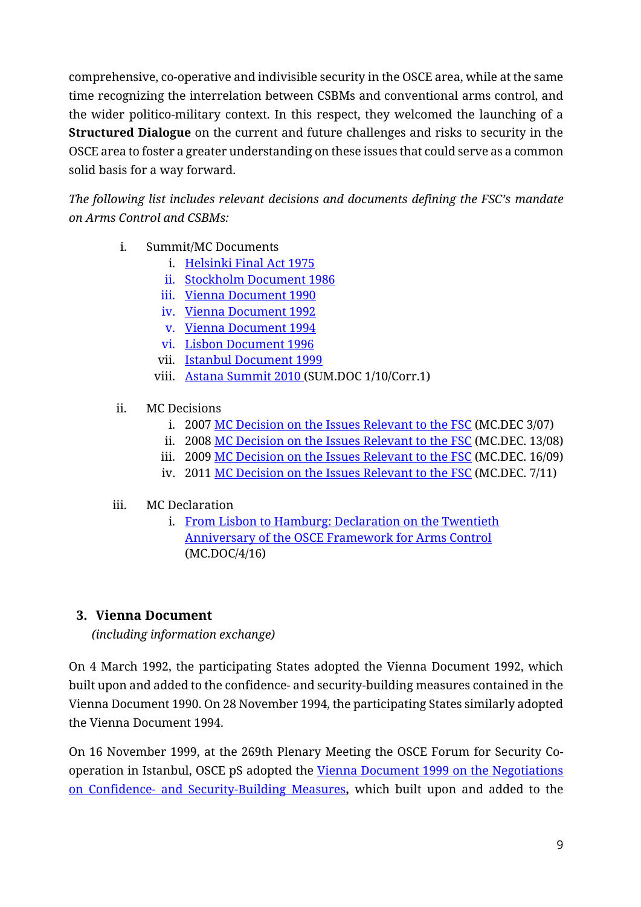comprehensive, co-operative and indivisible security in the OSCE area, while at the same time recognizing the interrelation between CSBMs and conventional arms control, and the wider politico-military context. In this respect, they welcomed the launching of a **Structured Dialogue** on the current and future challenges and risks to security in the OSCE area to foster a greater understanding on these issues that could serve as a common solid basis for a way forward.

*The following list includes relevant decisions and documents defining the FSC's mandate on Arms Control and CSBMs:*

- i. Summit/MC Documents
	- i. [Helsinki Final Act 1975](https://www.osce.org/helsinki-final-act)
	- ii. [Stockholm Document 1986](https://www.osce.org/fsc/41238)
	- iii. [Vienna Document 1990](https://www.osce.org/fsc/41245)
	- iv. [Vienna Document 1992](https://www.osce.org/fsc/41253)
	- v. [Vienna Document 1994](https://www.osce.org/fsc/41270)
	- vi. [Lisbon Document 1996](https://www.osce.org/mc/39539)
	- vii. [Istanbul Document](https://www.osce.org/mc/39569) 1999
	- viii. [Astana Summit 2010](https://www.osce.org/mc/74985) (SUM.DOC 1/10/Corr.1)

#### ii. MC Decisions

- i. 2007 [MC Decision on the Issues Relevant to the FSC](https://www.osce.org/mc/29556) (MC.DEC 3/07)
- ii. 2008 [MC Decision on the Issues Relevant to the FSC](https://www.osce.org/mc/35532) (MC.DEC. 13/08)
- iii. 2009 [MC Decision on the Issues Relevant to the FSC](https://www.osce.org/cio/40698) (MC.DEC. 16/09)
- iv. 2011 [MC Decision on the Issues Relevant to the FSC](https://www.osce.org/mc/86531) (MC.DEC. 7/11)

### iii. MC Declaration

i. [From Lisbon to Hamburg: Declaration on the Twentieth](https://www.osce.org/chairmanship/289496)  [Anniversary of the OSCE Framework for Arms Control](https://www.osce.org/chairmanship/289496) (MC.DOC/4/16)

### <span id="page-8-0"></span>**3. Vienna Document**

*(including information exchange)*

On 4 March 1992, the participating States adopted the Vienna Document 1992, which built upon and added to the confidence- and security-building measures contained in the Vienna Document 1990. On 28 November 1994, the participating States similarly adopted the Vienna Document 1994.

On 16 November 1999, at the 269th Plenary Meeting the OSCE Forum for Security Cooperation in Istanbul, OSCE pS adopted the [Vienna Document 1999](https://www.osce.org/files/f/documents/b/2/41276.pdf) on the Negotiations on Confidence- [and Security-Building Measures](https://www.osce.org/files/f/documents/b/2/41276.pdf)**,** which built upon and added to the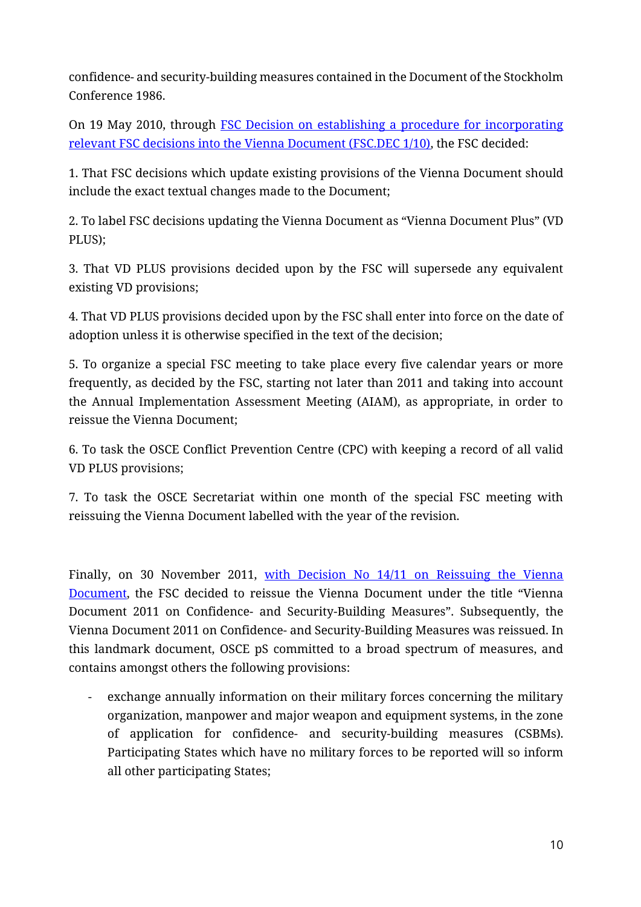confidence- and security-building measures contained in the Document of the Stockholm Conference 1986.

On 19 May 2010, through [FSC Decision on establishing a procedure for incorporating](https://www.osce.org/files/f/documents/0/1/68695.pdf)  [relevant FSC decisions into the Vienna Document \(FSC.DEC 1/10\),](https://www.osce.org/files/f/documents/0/1/68695.pdf) the FSC decided:

1. That FSC decisions which update existing provisions of the Vienna Document should include the exact textual changes made to the Document;

2. To label FSC decisions updating the Vienna Document as "Vienna Document Plus" (VD PLUS);

3. That VD PLUS provisions decided upon by the FSC will supersede any equivalent existing VD provisions;

4. That VD PLUS provisions decided upon by the FSC shall enter into force on the date of adoption unless it is otherwise specified in the text of the decision;

5. To organize a special FSC meeting to take place every five calendar years or more frequently, as decided by the FSC, starting not later than 2011 and taking into account the Annual Implementation Assessment Meeting (AIAM), as appropriate, in order to reissue the Vienna Document;

6. To task the OSCE Conflict Prevention Centre (CPC) with keeping a record of all valid VD PLUS provisions;

7. To task the OSCE Secretariat within one month of the special FSC meeting with reissuing the Vienna Document labelled with the year of the revision.

Finally, on 30 November 2011, [with Decision No 14/11](https://www.osce.org/files/f/documents/a/1/86087.pdf) on Reissuing the Vienna Document, the FSC decided to reissue the Vienna Document under the title "Vienna Document 2011 on Confidence- and Security-Building Measures". Subsequently, the Vienna Document 2011 on Confidence- and Security-Building Measures was reissued. In this landmark document, OSCE pS committed to a broad spectrum of measures, and contains amongst others the following provisions:

- exchange annually information on their military forces concerning the military organization, manpower and major weapon and equipment systems, in the zone of application for confidence- and security-building measures (CSBMs). Participating States which have no military forces to be reported will so inform all other participating States;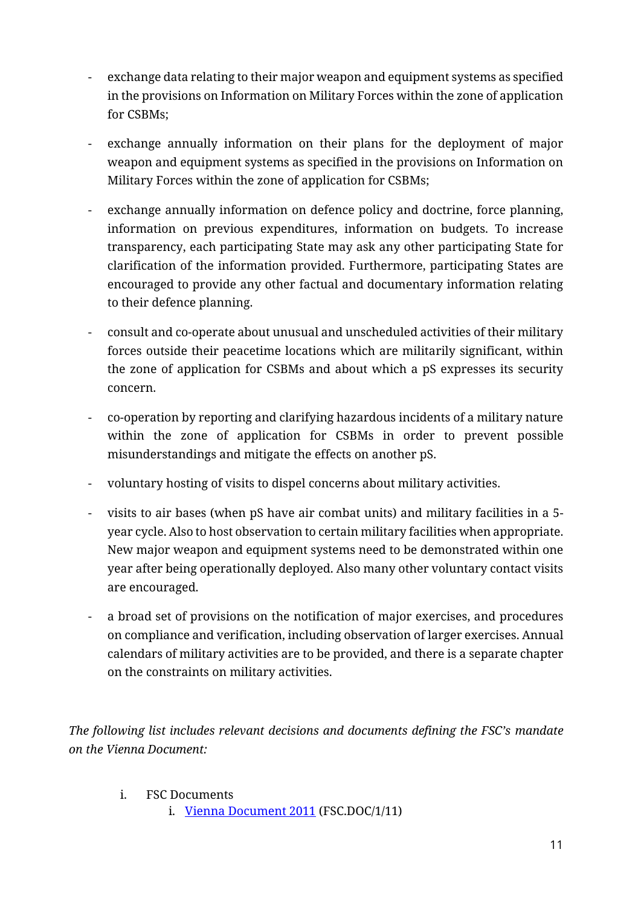- exchange data relating to their major weapon and equipment systems as specified in the provisions on Information on Military Forces within the zone of application for CSBMs;
- exchange annually information on their plans for the deployment of major weapon and equipment systems as specified in the provisions on Information on Military Forces within the zone of application for CSBMs;
- exchange annually information on defence policy and doctrine, force planning, information on previous expenditures, information on budgets. To increase transparency, each participating State may ask any other participating State for clarification of the information provided. Furthermore, participating States are encouraged to provide any other factual and documentary information relating to their defence planning.
- consult and co-operate about unusual and unscheduled activities of their military forces outside their peacetime locations which are militarily significant, within the zone of application for CSBMs and about which a pS expresses its security concern.
- co-operation by reporting and clarifying hazardous incidents of a military nature within the zone of application for CSBMs in order to prevent possible misunderstandings and mitigate the effects on another pS.
- voluntary hosting of visits to dispel concerns about military activities.
- visits to air bases (when pS have air combat units) and military facilities in a 5 year cycle. Also to host observation to certain military facilities when appropriate. New major weapon and equipment systems need to be demonstrated within one year after being operationally deployed. Also many other voluntary contact visits are encouraged.
- a broad set of provisions on the notification of major exercises, and procedures on compliance and verification, including observation of larger exercises. Annual calendars of military activities are to be provided, and there is a separate chapter on the constraints on military activities.

*The following list includes relevant decisions and documents defining the FSC's mandate on the Vienna Document:*

- i. FSC Documents
	- i. [Vienna Document 2011](https://www.osce.org/fsc/86597) (FSC.DOC/1/11)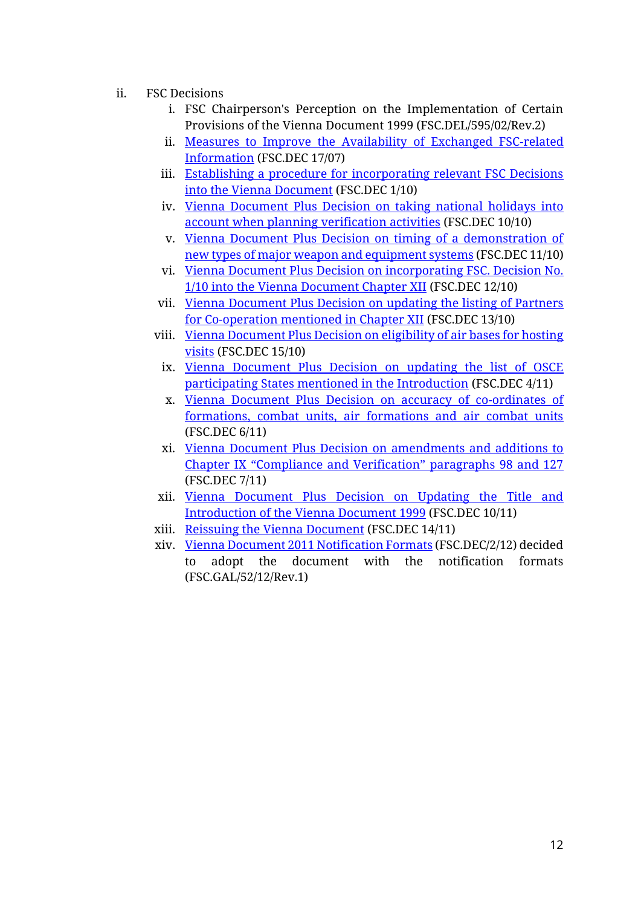- ii. FSC Decisions
	- i. FSC Chairperson's Perception on the Implementation of Certain Provisions of the Vienna Document 1999 (FSC.DEL/595/02/Rev.2)
	- ii. [Measures to Improve the Availability of Exchanged FSC-related](https://www.osce.org/files/f/documents/0/9/29987.pdf)  [Information](https://www.osce.org/files/f/documents/0/9/29987.pdf) (FSC.DEC 17/07)
	- iii. [Establishing a procedure for incorporating relevant FSC Decisions](https://www.osce.org/fsc/68695)  [into the Vienna Document](https://www.osce.org/fsc/68695) (FSC.DEC 1/10)
	- iv. [Vienna Document Plus Decision on taking national holidays into](https://www.osce.org/fsc/73473)  [account when planning verification activities](https://www.osce.org/fsc/73473) (FSC.DEC 10/10)
	- v. [Vienna Document Plus Decision on timing of a demonstration of](https://www.osce.org/fsc/73597)  [new types of major weapon and equipment systems](https://www.osce.org/fsc/73597) (FSC.DEC 11/10)
	- vi. [Vienna Document Plus Decision on incorporating FSC. Decision No.](https://www.osce.org/fsc/73603)  [1/10 into the Vienna Document Chapter XII](https://www.osce.org/fsc/73603) (FSC.DEC 12/10)
	- vii. [Vienna Document Plus Decision on updating the listing of Partners](https://www.osce.org/fsc/73609)  [for Co-operation mentioned in Chapter XII](https://www.osce.org/fsc/73609) (FSC.DEC 13/10)
	- viii. [Vienna Document Plus Decision on eligibility of air bases for hosting](https://www.osce.org/fsc/73964)  [visits](https://www.osce.org/fsc/73964) (FSC.DEC 15/10)
		- ix. [Vienna Document Plus Decision on updating the list of OSCE](https://www.osce.org/fsc/80783)  [participating States mentioned in the Introduction](https://www.osce.org/fsc/80783) (FSC.DEC 4/11)
		- x. [Vienna Document Plus Decision on accuracy of co-ordinates of](https://www.osce.org/fsc/81141)  formations, [combat units, air formations and air combat units](https://www.osce.org/fsc/81141) (FSC.DEC 6/11)
		- xi. [Vienna Document Plus Decision on amendments and additions to](https://www.osce.org/fsc/81700)  [Chapter IX "Compliance and Verification" paragraphs 98 and 127](https://www.osce.org/fsc/81700) (FSC.DEC 7/11)
	- xii. [Vienna Document Plus Decision on Updating the Title and](https://www.osce.org/fsc/83332)  [Introduction of the Vienna Document 1999](https://www.osce.org/fsc/83332) (FSC.DEC 10/11)
	- xiii. [Reissuing the Vienna Document](https://www.osce.org/fsc/86087) (FSC.DEC 14/11)
	- xiv. [Vienna Document 2011 Notification Formats](https://www.osce.org/files/f/documents/0/2/91109.pdf) (FSC.DEC/2/12) decided to adopt the document with the notification formats (FSC.GAL/52/12/Rev.1)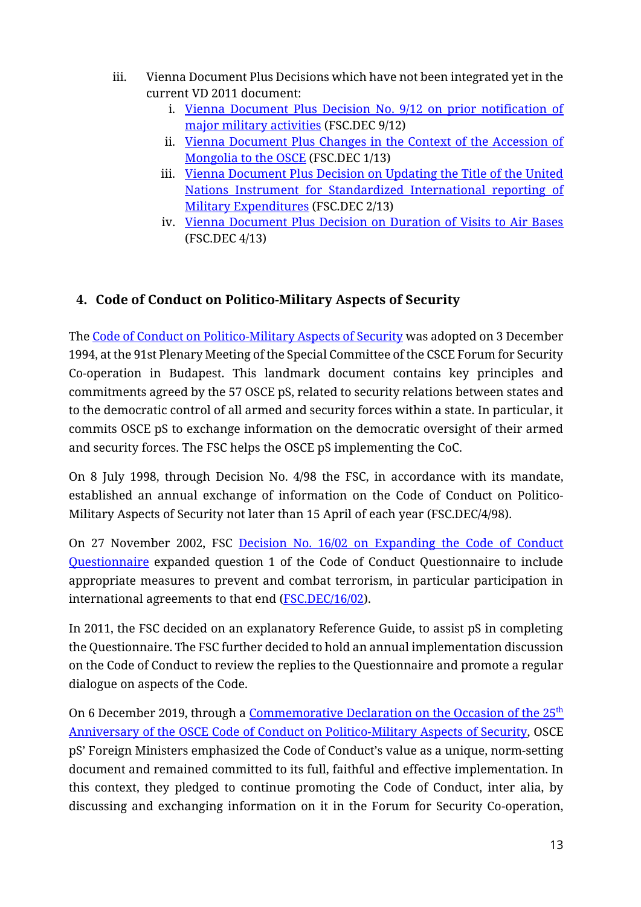- iii. Vienna Document Plus Decisions which have not been integrated yet in the current VD 2011 document:
	- i. [Vienna Document Plus Decision No. 9/12 on prior notification of](https://www.osce.org/fsc/96492)  [major military activities](https://www.osce.org/fsc/96492) (FSC.DEC 9/12)
	- ii. [Vienna Document Plus Changes in the Context of the Accession of](https://www.osce.org/fsc/100232)  [Mongolia to the OSCE](https://www.osce.org/fsc/100232) (FSC.DEC 1/13)
	- iii. Vienna Document Plus Decision on Updating the Title of the United [Nations Instrument for Standardized International reporting of](https://www.osce.org/fsc/100233)  [Military Expenditures](https://www.osce.org/fsc/100233) (FSC.DEC 2/13)
	- iv. [Vienna Document Plus Decision on Duration of Visits to Air Bases](https://www.osce.org/fsc/103722) (FSC.DEC 4/13)

# <span id="page-12-0"></span>**4. Code of Conduct on Politico-Military Aspects of Security**

The Code of Conduct [on Politico-Military Aspects of Security](https://www.osce.org/files/f/documents/5/7/41355.pdf) was adopted on 3 December 1994, at the 91st Plenary Meeting of the Special Committee of the CSCE Forum for Security Co-operation in Budapest. This landmark document contains key principles and commitments agreed by the 57 OSCE pS, related to security relations between states and to the democratic control of all armed and security forces within a state. In particular, it commits OSCE pS to exchange information on the democratic oversight of their armed and security forces. The FSC helps the OSCE pS implementing the CoC.

On 8 July 1998, through Decision No. 4/98 the FSC, in accordance with its mandate, established an annual exchange of information on the Code of Conduct on Politico-Military Aspects of Security not later than 15 April of each year (FSC.DEC/4/98).

On 27 November 2002, FSC Decision No. 16/02 [on Expanding the](https://www.osce.org/files/f/documents/2/4/13520.pdf) Code of Conduct [Questionnaire](https://www.osce.org/files/f/documents/2/4/13520.pdf) expanded question 1 of the Code of Conduct Questionnaire to include appropriate measures to prevent and combat terrorism, in particular participation in international agreements to that end [\(FSC.DEC/16/02\)](https://www.osce.org/files/f/documents/2/4/13520.pdf).

In 2011, the FSC decided on an explanatory Reference Guide, to assist pS in completing the Questionnaire. The FSC further decided to hold an annual implementation discussion on the Code of Conduct to review the replies to the Questionnaire and promote a regular dialogue on aspects of the Code.

On 6 December 2019, through a [Commemorative Declaration on the Occasion of](https://www.osce.org/ministerial-councils/441521) the 25<sup>th</sup> Anniversary [of the OSCE Code of Conduct on Politico-Military Aspects of Security,](https://www.osce.org/ministerial-councils/441521) OSCE pS' Foreign Ministers emphasized the Code of Conduct's value as a unique, norm-setting document and remained committed to its full, faithful and effective implementation. In this context, they pledged to continue promoting the Code of Conduct, inter alia, by discussing and exchanging information on it in the Forum for Security Co-operation,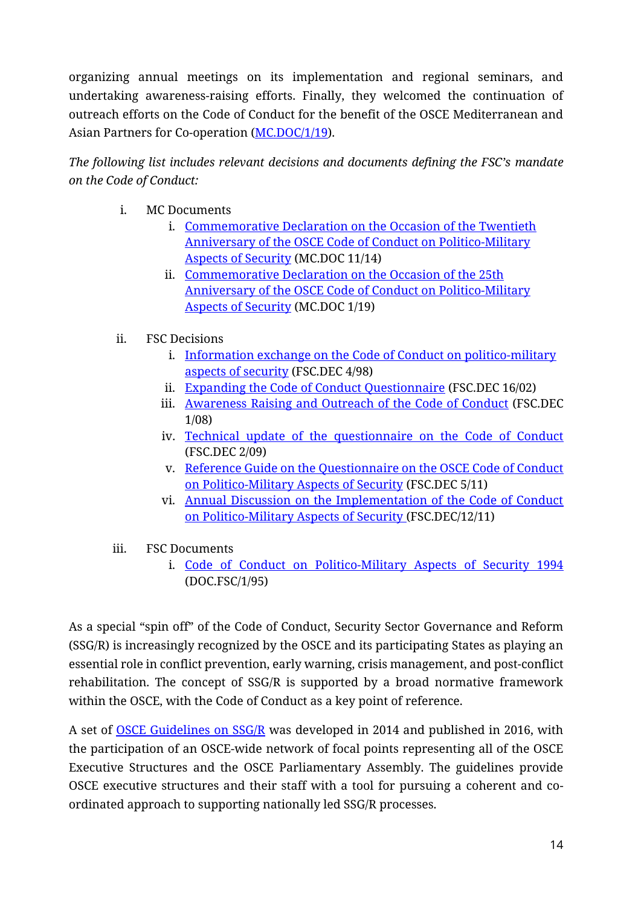organizing annual meetings on its implementation and regional seminars, and undertaking awareness-raising efforts. Finally, they welcomed the continuation of outreach efforts on the Code of Conduct for the benefit of the OSCE Mediterranean and Asian Partners for Co-operation [\(MC.DOC/1/19\)](https://www.osce.org/files/f/documents/f/2/441521.pdf).

*The following list includes relevant decisions and documents defining the FSC's mandate on the Code of Conduct:*

- i. MC Documents
	- i. [Commemorative Declaration on the Occasion of the Twentieth](https://www.osce.org/node/130571)  [Anniversary of the OSCE Code of Conduct on Politico-Military](https://www.osce.org/node/130571)  [Aspects of Security](https://www.osce.org/node/130571) (MC.DOC 11/14)
	- ii. [Commemorative Declaration on the Occasion of the 25th](https://www.osce.org/ministerial-councils/441521)  [Anniversary of the OSCE Code of Conduct on Politico-Military](https://www.osce.org/ministerial-councils/441521)  [Aspects of Security](https://www.osce.org/ministerial-councils/441521) (MC.DOC 1/19)
- ii. FSC Decisions
	- i. [Information exchange on the Code of Conduct on politico-military](https://www.osce.org/files/f/documents/b/8/473697.pdf)  [aspects of security](https://www.osce.org/files/f/documents/b/8/473697.pdf) (FSC.DEC 4/98)
	- ii. [Expanding the Code of Conduct Questionnaire](https://www.osce.org/fsc/13520) (FSC.DEC 16/02)
	- iii. [Awareness Raising and Outreach of the Code of Conduct](https://www.osce.org/fsc/30902) (FSC.DEC 1/08)
	- iv. [Technical update of the questionnaire on the Code of Conduct](https://www.osce.org/fsc/36748) (FSC.DEC 2/09)
	- v. [Reference Guide on the Questionnaire on the OSCE Code of Conduct](https://www.osce.org/fsc/80988)  [on Politico-Military Aspects of Security](https://www.osce.org/fsc/80988) (FSC.DEC 5/11)
	- vi. [Annual Discussion on the Implementation of the Code of Conduct](https://www.osce.org/files/f/documents/3/d/84268.pdf)  [on Politico-Military Aspects of Security](https://www.osce.org/files/f/documents/3/d/84268.pdf) (FSC.DEC/12/11)
- iii. FSC Documents
	- i. [Code of Conduct on Politico-Military Aspects of Security 1994](https://www.osce.org/fsc/41355) (DOC.FSC/1/95)

As a special "spin off" of the Code of Conduct, Security Sector Governance and Reform (SSG/R) is increasingly recognized by the OSCE and its participating States as playing an essential role in conflict prevention, early warning, crisis management, and post-conflict rehabilitation. The concept of SSG/R is supported by a broad normative framework within the OSCE, with the Code of Conduct as a key point of reference.

A set of [OSCE Guidelines on SSG/R](https://www.osce.org/files/f/documents/8/f/231176.pdf) was developed in 2014 and published in 2016, with the participation of an OSCE-wide network of focal points representing all of the OSCE Executive Structures and the OSCE Parliamentary Assembly. The guidelines provide OSCE executive structures and their staff with a tool for pursuing a coherent and coordinated approach to supporting nationally led SSG/R processes.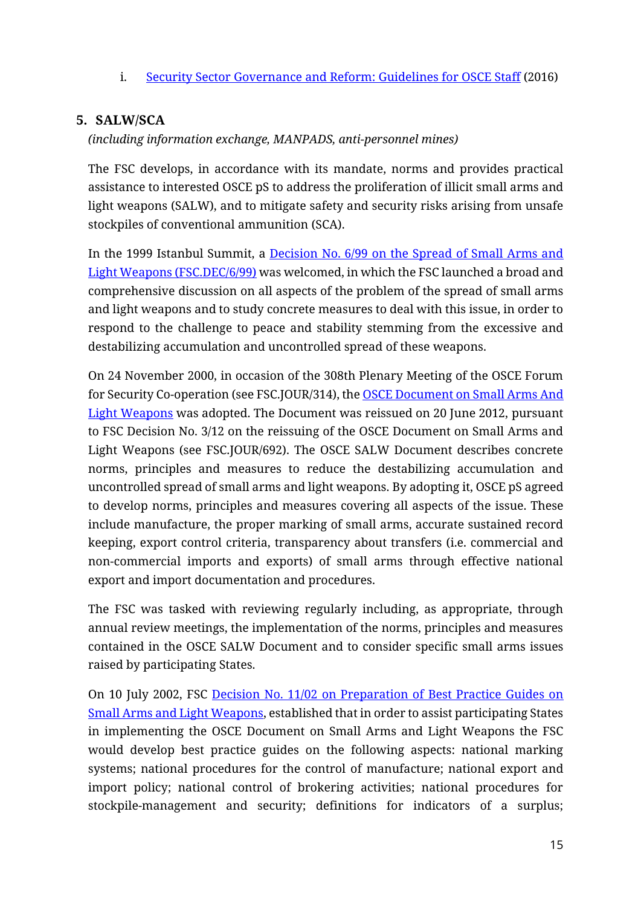i. Security Sector [Governance and Reform: Guidelines for OSCE Staff](https://www.osce.org/secretariat/231176) (2016)

## <span id="page-14-0"></span>**5. SALW/SCA**

*(including information exchange, MANPADS, anti-personnel mines)*

The FSC develops, in accordance with its mandate, norms and provides practical assistance to interested OSCE pS to address the proliferation of illicit small arms and light weapons (SALW), and to mitigate safety and security risks arising from unsafe stockpiles of conventional ammunition (SCA).

In the 1999 Istanbul Summit, a [Decision No. 6/99 on the Spread of Small Arms and](https://www.osce.org/files/f/documents/6/5/39569.pdf)  [Light Weapons](https://www.osce.org/files/f/documents/6/5/39569.pdf) (FSC.DEC/6/99) was welcomed, in which the FSC launched a broad and comprehensive discussion on all aspects of the problem of the spread of small arms and light weapons and to study concrete measures to deal with this issue, in order to respond to the challenge to peace and stability stemming from the excessive and destabilizing accumulation and uncontrolled spread of these weapons.

On 24 November 2000, in occasion of the 308th Plenary Meeting of the OSCE Forum for Security Co-operation (see FSC.JOUR/314), the [OSCE Document on Small Arms And](https://www.osce.org/files/f/documents/7/0/20783.pdf)  Light [Weapons](https://www.osce.org/files/f/documents/7/0/20783.pdf) was adopted. The Document was reissued on 20 June 2012, pursuant to FSC Decision No. 3/12 on the reissuing of the OSCE Document on Small Arms and Light Weapons (see FSC.JOUR/692). The OSCE SALW Document describes concrete norms, principles and measures to reduce the destabilizing accumulation and uncontrolled spread of small arms and light weapons. By adopting it, OSCE pS agreed to develop norms, principles and measures covering all aspects of the issue. These include manufacture, the proper marking of small arms, accurate sustained record keeping, export control criteria, transparency about transfers (i.e. commercial and non-commercial imports and exports) of small arms through effective national export and import documentation and procedures.

The FSC was tasked with reviewing regularly including, as appropriate, through annual review meetings, the implementation of the norms, principles and measures contained in the OSCE SALW Document and to consider specific small arms issues raised by participating States.

On 10 July 2002, FSC [Decision No. 11/02 on Preparation of Best Practice Guides on](https://www.osce.org/files/f/documents/1/b/14987.pdf)  [Small Arms and Light Weapons,](https://www.osce.org/files/f/documents/1/b/14987.pdf) established that in order to assist participating States in implementing the OSCE Document on Small Arms and Light Weapons the FSC would develop best practice guides on the following aspects: national marking systems; national procedures for the control of manufacture; national export and import policy; national control of brokering activities; national procedures for stockpile-management and security; definitions for indicators of a surplus;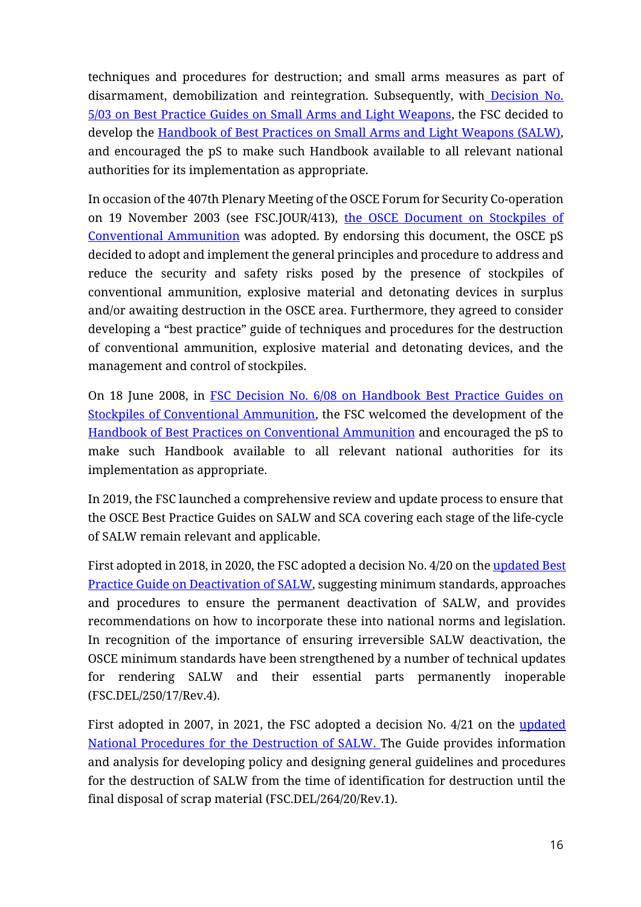techniques and procedures for destruction; and small arms measures as part of disarmament, demobilization and reintegration. Subsequently, with Decision No. [5/03 on Best Practice Guides on Small Arms and Light Weapons,](https://www.osce.org/files/f/documents/6/2/43164.pdf) the FSC decided to develop the [Handbook of Best Practices on Small Arms and Light Weapons \(SALW\),](https://www.osce.org/files/f/documents/e/a/13616.pdf) and encouraged the pS to make such Handbook available to all relevant national authorities for its implementation as appropriate.

In occasion of the 407th Plenary Meeting of the OSCE Forum for Security Co-operation on 19 November 2003 (see FSC.JOUR/413), [the OSCE Document on Stockpiles of](https://www.osce.org/files/f/documents/c/9/15792.pdf)  [Conventional Ammunition](https://www.osce.org/files/f/documents/c/9/15792.pdf) was adopted. By endorsing this document, the OSCE pS decided to adopt and implement the general principles and procedure to address and reduce the security and safety risks posed by the presence of stockpiles of conventional ammunition, explosive material and detonating devices in surplus and/or awaiting destruction in the OSCE area. Furthermore, they agreed to consider developing a "best practice" guide of techniques and procedures for the destruction of conventional ammunition, explosive material and detonating devices, and the management and control of stockpiles.

On 18 June 2008, in FSC Decision No. 6/08 on [Handbook Best Practice Guides on](https://www.osce.org/files/f/documents/7/8/32461.pdf)  [Stockpiles of Conventional Ammunition,](https://www.osce.org/files/f/documents/7/8/32461.pdf) the FSC welcomed the development of the [Handbook of Best Practices on Conventional Ammunition](https://www.osce.org/files/f/documents/5/5/33371.pdf) and encouraged the pS to make such Handbook available to all relevant national authorities for its implementation as appropriate.

In 2019, the FSC launched a comprehensive review and update process to ensure that the OSCE Best Practice Guides on SALW and SCA covering each stage of the life-cycle of SALW remain relevant and applicable.

First adopted in 2018, in 2020, the FSC adopted a decision No. 4/20 on the updated Best Practice Guide [on Deactivation of SALW,](https://www.osce.org/forum-for-security-cooperation/383988) suggesting minimum standards, approaches and procedures to ensure the permanent deactivation of SALW, and provides recommendations on how to incorporate these into national norms and legislation. In recognition of the importance of ensuring irreversible SALW deactivation, the OSCE minimum standards have been strengthened by a number of technical updates for rendering SALW and their essential parts permanently inoperable (FSC.DEL/250/17/Rev.4).

First adopted in 2007, in 2021, the FSC adopted a decision No. 4/21 on the [updated](https://www.osce.org/forum-for-security-cooperation/492949)  [National Procedures for the Destruction of SALW.](https://www.osce.org/forum-for-security-cooperation/492949) The Guide provides information and analysis for developing policy and designing general guidelines and procedures for the destruction of SALW from the time of identification for destruction until the final disposal of scrap material (FSC.DEL/264/20/Rev.1).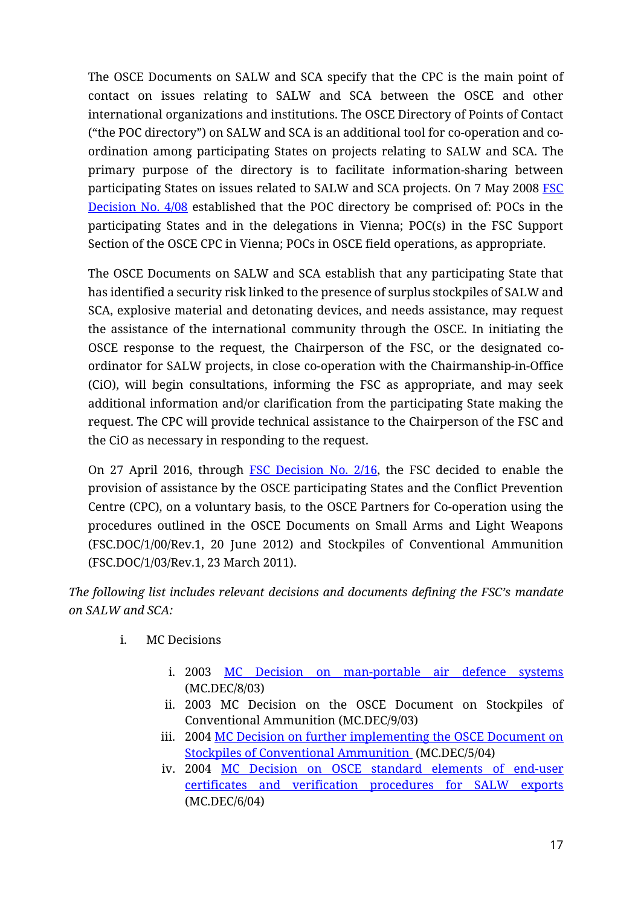The OSCE Documents on SALW and SCA specify that the CPC is the main point of contact on issues relating to SALW and SCA between the OSCE and other international organizations and institutions. The OSCE Directory of Points of Contact ("the POC directory") on SALW and SCA is an additional tool for co-operation and coordination among participating States on projects relating to SALW and SCA. The primary purpose of the directory is to facilitate information-sharing between participating States on issues related to SALW and SCA projects. On 7 May 2008 FSC [Decision No. 4/08](https://www.osce.org/files/f/documents/8/a/31785.pdf) established that the POC directory be comprised of: POCs in the participating States and in the delegations in Vienna; POC(s) in the FSC Support Section of the OSCE CPC in Vienna; POCs in OSCE field operations, as appropriate.

The OSCE Documents on SALW and SCA establish that any participating State that has identified a security risk linked to the presence of surplus stockpiles of SALW and SCA, explosive material and detonating devices, and needs assistance, may request the assistance of the international community through the OSCE. In initiating the OSCE response to the request, the Chairperson of the FSC, or the designated coordinator for SALW projects, in close co-operation with the Chairmanship-in-Office (CiO), will begin consultations, informing the FSC as appropriate, and may seek additional information and/or clarification from the participating State making the request. The CPC will provide technical assistance to the Chairperson of the FSC and the CiO as necessary in responding to the request.

On 27 April 2016, through [FSC Decision No. 2/16,](https://www.osce.org/files/f/documents/5/7/237756.pdf) the FSC decided to enable the provision of assistance by the OSCE participating States and the Conflict Prevention Centre (CPC), on a voluntary basis, to the OSCE Partners for Co-operation using the procedures outlined in the OSCE Documents on Small Arms and Light Weapons (FSC.DOC/1/00/Rev.1, 20 June 2012) and Stockpiles of Conventional Ammunition (FSC.DOC/1/03/Rev.1, 23 March 2011).

*The following list includes relevant decisions and documents defining the FSC's mandate on SALW and SCA:*

- i. MC Decisions
	- i. 2003 [MC Decision on man-portable air defence systems](https://www.osce.org/mc/23996) (MC.DEC/8/03)
	- ii. 2003 MC Decision on the OSCE Document on Stockpiles of Conventional Ammunition (MC.DEC/9/03)
	- iii. 2004 [MC Decision on further implementing the OSCE Document on](https://www.osce.org/mc/16467)  [Stockpiles of Conventional Ammunition](https://www.osce.org/mc/16467) (MC.DEC/5/04)
	- iv. 2004 [MC Decision on OSCE standard elements of end-user](https://www.osce.org/mc/16500)  [certificates and verification procedures for SALW exports](https://www.osce.org/mc/16500) (MC.DEC/6/04)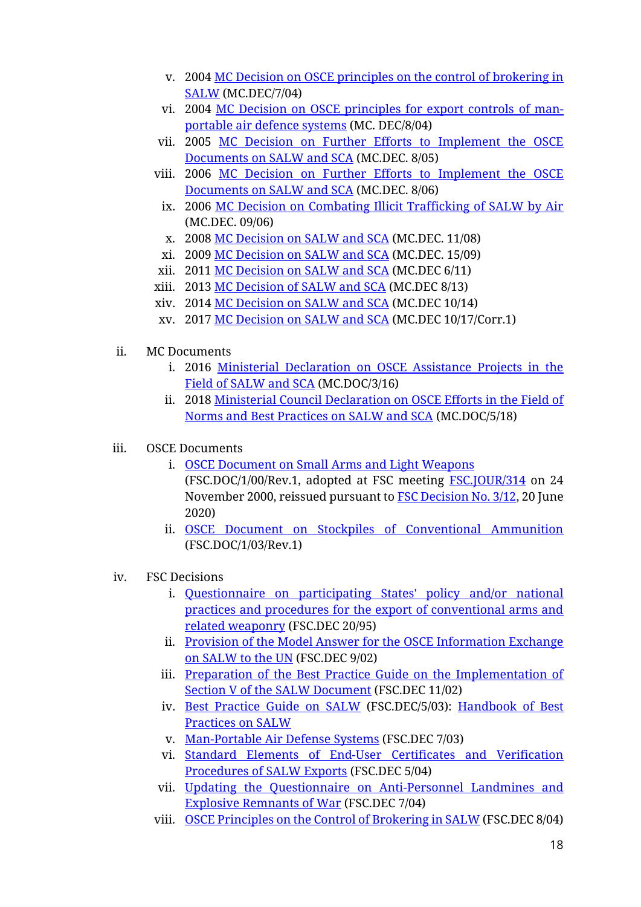- v. 2004 [MC Decision on OSCE principles on the control of brokering in](https://www.osce.org/mc/22405)  [SALW](https://www.osce.org/mc/22405) (MC.DEC/7/04)
- vi. 2004 [MC Decision on OSCE principles for export controls of man](https://www.osce.org/mc/22519)[portable air defence systems](https://www.osce.org/mc/22519) (MC. DEC/8/04)
- vii. 2005 [MC Decision on Further Efforts to Implement the OSCE](https://www.osce.org/mc/17348)  [Documents on SALW and SCA](https://www.osce.org/mc/17348) (MC.DEC. 8/05)
- viii. 2006 [MC Decision on Further Efforts to Implement the OSCE](https://www.osce.org/mc/23090)  [Documents on SALW and SCA](https://www.osce.org/mc/23090) (MC.DEC. 8/06)
	- ix. 2006 [MC Decision on Combating Illicit Trafficking of SALW by Air](https://www.osce.org/mc/23096) (MC.DEC. 09/06)
	- x. 2008 [MC Decision on SALW and SCA](https://www.osce.org/mc/35538) (MC.DEC. 11/08)
- xi. 2009 [MC Decision on SALW and SCA](https://www.osce.org/cio/40694) (MC.DEC. 15/09)
- xii. 2011 [MC Decision on SALW and SCA](https://www.osce.org/mc/86090) (MC.DEC 6/11)
- xiii. 2013 [MC Decision of SALW and SCA](https://www.osce.org/mc/109343) (MC.DEC 8/13)
- xiv. 2014 [MC Decision on SALW and SCA](https://www.osce.org/mc/130391) (MC.DEC 10/14)
- xv. 2017 [MC Decision on SALW and SCA](https://www.osce.org/chairmanship/361581) (MC.DEC 10/17/Corr.1)
- ii. MC Documents
	- i. 2016 [Ministerial Declaration on OSCE Assistance Projects in the](https://www.osce.org/cio/288201)  [Field of SALW and SCA](https://www.osce.org/cio/288201) (MC.DOC/3/16)
	- ii. 2018 [Ministerial Council Declaration on OSCE Efforts in the Field of](https://www.osce.org/chairmanship/405923)  [Norms and Best Practices on SALW and SCA](https://www.osce.org/chairmanship/405923) (MC.DOC/5/18)
- iii. OSCE Documents
	- i. OSCE [Document](https://www.osce.org/fsc/20783) on Small Arms and Light Weapons (FSC.DOC/1/00/Rev.1, adopted at FSC meeting [FSC.JOUR/314](https://www.osce.org/de/fsc/36737) on 24 November 2000, reissued pursuant to [FSC Decision No. 3/12,](https://www.osce.org/fsc/91572) 20 June 2020)
	- ii. [OSCE Document on Stockpiles of Conventional Ammunition](https://www.osce.org/fsc/15792) (FSC.DOC/1/03/Rev.1)
- iv. FSC Decisions
	- i. [Questionnaire on participating States' policy and/or national](https://www.osce.org/fsc/42383)  [practices and procedures for the export of conventional arms and](https://www.osce.org/fsc/42383)  [related weaponry](https://www.osce.org/fsc/42383) (FSC.DEC 20/95)
	- ii. Provision of the Model Answer for the OSCE Information Exchange [on SALW to the UN](https://www.osce.org/files/f/documents/b/3/15382.pdf) (FSC.DEC 9/02)
	- iii. [Preparation of the Best Practice Guide on the Implementation of](https://www.osce.org/fsc/14987)  [Section V of the SALW Document](https://www.osce.org/fsc/14987) (FSC.DEC 11/02)
	- iv. [Best Practice Guide on SALW](https://www.osce.org/fsc/43164) (FSC.DEC/5/03): [Handbook of Best](https://www.osce.org/fsc/13616)  [Practices on SALW](https://www.osce.org/fsc/13616)
	- v. [Man-Portable Air Defense Systems](https://www.osce.org/fsc/43128) (FSC.DEC 7/03)
	- vi. [Standard Elements of End-User Certificates and Verification](https://www.osce.org/fsc/16941)  [Procedures of SALW Exports](https://www.osce.org/fsc/16941) (FSC.DEC 5/04)
	- vii. [Updating the Questionnaire on Anti-Personnel Landmines and](https://www.osce.org/fsc/18346)  [Explosive Remnants of War](https://www.osce.org/fsc/18346) (FSC.DEC 7/04)
	- viii. [OSCE Principles on the Control of Brokering in SALW](https://www.osce.org/fsc/18432) (FSC.DEC 8/04)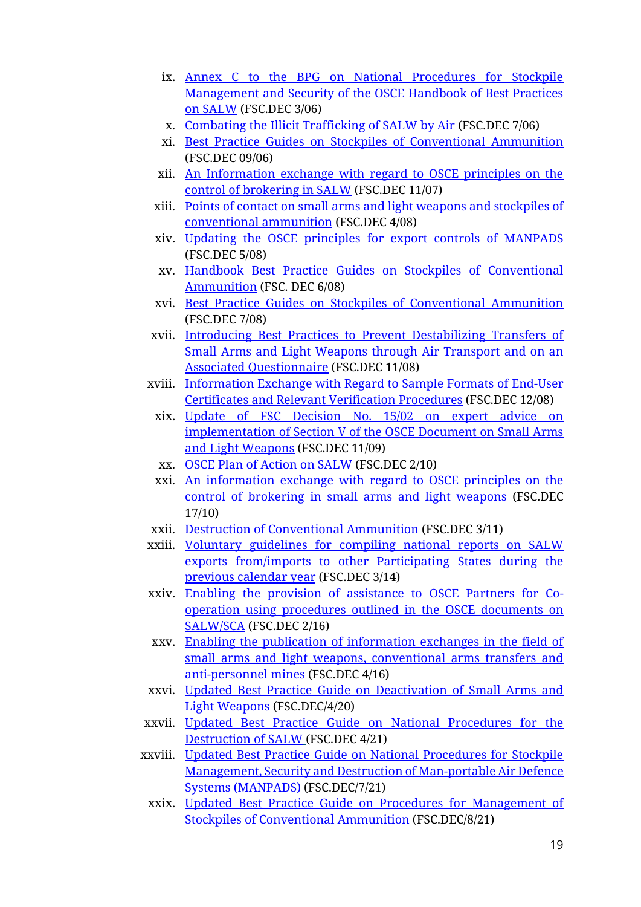- ix. [Annex C to the BPG on National Procedures for Stockpile](https://www.osce.org/fsc/18784)  [Management and Security of the OSCE Handbook of Best Practices](https://www.osce.org/fsc/18784)  [on SALW](https://www.osce.org/fsc/18784) (FSC.DEC 3/06)
- x. [Combating the Illicit Trafficking of SALW by Air](https://www.osce.org/fsc/22509) (FSC.DEC 7/06)
- xi. [Best Practice Guides on Stockpiles of Conventional Ammunition](https://www.osce.org/fsc/22662) (FSC.DEC 09/06)
- xii. [An Information exchange with regard to OSCE principles on the](https://www.osce.org/fsc/28228)  [control of brokering in SALW](https://www.osce.org/fsc/28228) (FSC.DEC 11/07)
- xiii. [Points of contact on small arms and light weapons and stockpiles of](https://www.osce.org/fsc/31785)  [conventional ammunition](https://www.osce.org/fsc/31785) (FSC.DEC 4/08)
- xiv. [Updating the OSCE principles for export controls of MANPADS](https://www.osce.org/fsc/32082) (FSC.DEC 5/08)
- xv. [Handbook Best Practice Guides on Stockpiles of Conventional](https://www.osce.org/files/f/documents/7/8/32461.pdf)  [Ammunition](https://www.osce.org/files/f/documents/7/8/32461.pdf) (FSC. DEC 6/08)
- xvi. [Best Practice Guides on Stockpiles of Conventional Ammunition](https://www.osce.org/fsc/32576) (FSC.DEC 7/08)
- xvii. [Introducing Best Practices to Prevent Destabilizing Transfers of](https://www.osce.org/fsc/34865)  [Small Arms and Light Weapons through Air Transport and on an](https://www.osce.org/fsc/34865)  [Associated Questionnaire](https://www.osce.org/fsc/34865) (FSC.DEC 11/08)
- xviii. [Information Exchange with Regard to Sample](https://www.osce.org/fsc/34913) Formats of End-User [Certificates and Relevant Verification Procedures](https://www.osce.org/fsc/34913) (FSC.DEC 12/08)
	- xix. [Update of FSC Decision No. 15/02 on expert advice on](https://www.osce.org/fsc/40891)  [implementation of Section V of the OSCE Document on Small Arms](https://www.osce.org/fsc/40891)  [and Light Weapons](https://www.osce.org/fsc/40891) (FSC.DEC 11/09)
	- xx. [OSCE Plan of Action on SALW](https://www.osce.org/fsc/68450) (FSC.DEC 2/10)
	- xxi. [An information exchange with regard to OSCE principles on the](https://www.osce.org/fsc/73966)  [control of brokering in small](https://www.osce.org/fsc/73966) arms and light weapons (FSC.DEC 17/10)
- xxii. [Destruction of Conventional Ammunition](https://www.osce.org/fsc/76498) (FSC.DEC 3/11)
- xxiii. [Voluntary guidelines for compiling national reports on SALW](https://www.osce.org/fsc/119734)  exports [from/imports to other Participating States during the](https://www.osce.org/fsc/119734)  [previous calendar year](https://www.osce.org/fsc/119734) (FSC.DEC 3/14)
- xxiv. [Enabling the provision of assistance to OSCE Partners for Co](https://www.osce.org/fsc/237756)[operation using procedures outlined in the OSCE documents on](https://www.osce.org/fsc/237756)  [SALW/SCA](https://www.osce.org/fsc/237756) (FSC.DEC 2/16)
- xxv. [Enabling the publication of information exchanges in the field of](https://www.osce.org/fsc/268791)  [small arms and light weapons, conventional arms transfers and](https://www.osce.org/fsc/268791)  [anti-personnel mines](https://www.osce.org/fsc/268791) (FSC.DEC 4/16)
- xxvi. [Updated Best Practice Guide on Deactivation of Small Arms and](https://www.osce.org/forum-for-security-cooperation/383988)  [Light Weapons](https://www.osce.org/forum-for-security-cooperation/383988) [\(FSC.DEC/4/20\)](https://www.osce.org/forum-for-security-cooperation/466674)
- xxvii. [Updated Best Practice Guide on National Procedures for the](https://www.osce.org/forum-for-security-cooperation/492949)  [Destruction of SALW](https://www.osce.org/forum-for-security-cooperation/492949) [\(FSC.DEC 4/21\)](https://www.osce.org/files/f/documents/0/4/492994.pdf)
- xxviii. [Updated Best Practice Guide on National Procedures for Stockpile](https://www.osce.org/resources/510893)  [Management, Security and Destruction of Man-portable Air Defence](https://www.osce.org/resources/510893)  [Systems \(MANPADS\)](https://www.osce.org/resources/510893) [\(FSC.DEC/7/21\)](https://www.osce.org/forum-for-security-cooperation/509198)
	- xxix. [Updated Best Practice Guide on Procedures for Management of](https://www.osce.org/resources/510899)  [Stockpiles of Conventional Ammunition](https://www.osce.org/resources/510899) [\(FSC.DEC/8/21\)](extension://efaidnbmnnnibpcajpcglclefindmkaj/https:/www.osce.org/files/f/documents/b/2/509201.pdf)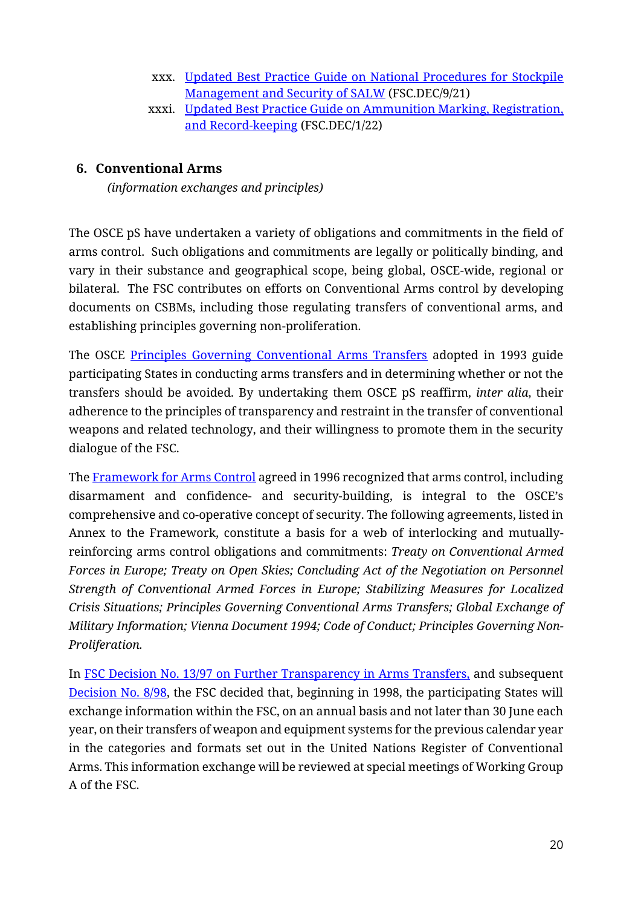- xxx. [Updated Best Practice Guide on National Procedures for](https://www.osce.org/forum-for-security-cooperation/511204) Stockpile [Management and Security](https://www.osce.org/forum-for-security-cooperation/511204) of SALW [\(FSC.DEC/9/21\)](https://www.osce.org/forum-for-security-cooperation/509204)
- xxxi. [Updated Best Practice Guide on Ammunition Marking, Registration,](https://www.osce.org/forum-for-security-cooperation/513013)  [and Record-keeping](https://www.osce.org/forum-for-security-cooperation/513013) [\(FSC.DEC/1/22\)](extension://efaidnbmnnnibpcajpcglclefindmkaj/https:/www.osce.org/files/f/documents/5/a/513880.pdf)

## <span id="page-19-0"></span>**6. Conventional Arms**

*(information exchanges and principles)*

The OSCE pS have undertaken a variety of obligations and commitments in the field of arms control. Such obligations and commitments are legally or politically binding, and vary in their substance and geographical scope, being global, OSCE-wide, regional or bilateral. The FSC contributes on efforts on Conventional Arms control by developing documents on CSBMs, including those regulating transfers of conventional arms, and establishing principles governing non-proliferation.

The OSCE [Principles Governing Conventional Arms Transfers](https://www.osce.org/files/f/documents/3/6/42313.pdf) adopted in 1993 guide participating States in conducting arms transfers and in determining whether or not the transfers should be avoided. By undertaking them OSCE pS reaffirm, *inter alia*, their adherence to the principles of transparency and restraint in the transfer of conventional weapons and related technology, and their willingness to promote them in the security dialogue of the FSC.

The [Framework for Arms Control](https://www.osce.org/files/f/documents/1/0/39539.pdf) agreed in 1996 recognized that arms control, including disarmament and confidence- and security-building, is integral to the OSCE's comprehensive and co-operative concept of security. The following agreements, listed in Annex to the Framework, constitute a basis for a web of interlocking and mutuallyreinforcing arms control obligations and commitments: *Treaty on Conventional Armed Forces in Europe; Treaty on Open Skies; Concluding Act of the Negotiation on Personnel Strength of Conventional Armed Forces in Europe; Stabilizing Measures for Localized Crisis Situations; Principles Governing Conventional Arms Transfers; Global Exchange of Military Information; Vienna Document 1994; Code of Conduct; Principles Governing Non-Proliferation.* 

In [FSC Decision No. 13/97 on Further Transparency in Arms Transfers,](https://www.osce.org/files/f/documents/8/3/453696.pdf) and subsequent [Decision No. 8/98,](https://www.osce.org/files/f/documents/5/8/453699.pdf) the FSC decided that, beginning in 1998, the participating States will exchange information within the FSC, on an annual basis and not later than 30 June each year, on their transfers of weapon and equipment systems for the previous calendar year in the categories and formats set out in the United Nations Register of Conventional Arms. This information exchange will be reviewed at special meetings of Working Group A of the FSC.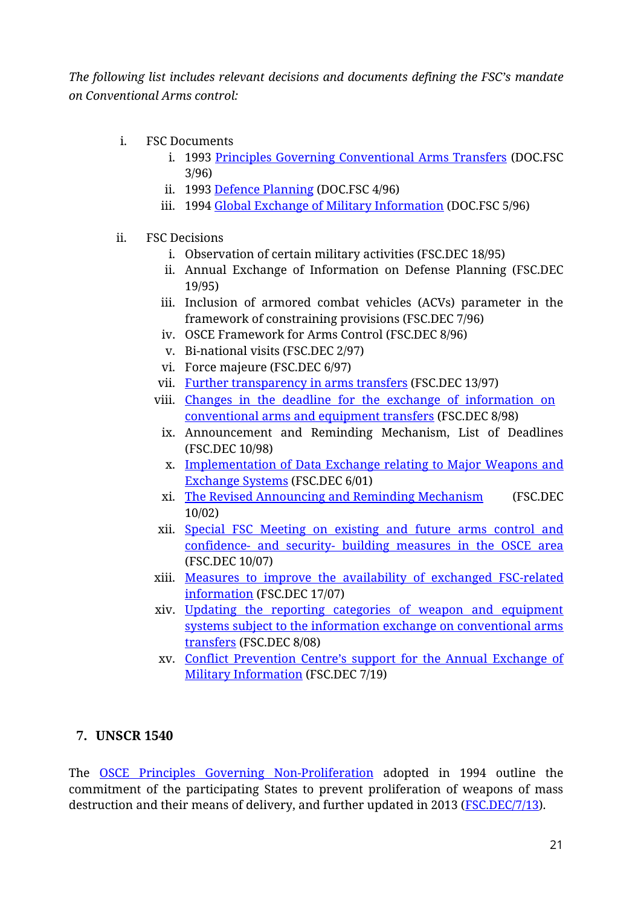*The following list includes relevant decisions and documents defining the FSC's mandate on Conventional Arms control:*

- i. FSC Documents
	- i. 1993 [Principles Governing Conventional Arms Transfers](https://www.osce.org/fsc/42313) (DOC.FSC 3/96)
	- ii. 1993 [Defence Planning](https://www.osce.org/fsc/41368) (DOC.FSC 4/96)
	- iii. 1994 [Global Exchange of Military Information](https://www.osce.org/fsc/41384) (DOC.FSC 5/96)
- ii. FSC Decisions
	- i. Observation of certain military activities (FSC.DEC 18/95)
	- ii. Annual Exchange of Information on Defense Planning (FSC.DEC 19/95)
	- iii. Inclusion of armored combat vehicles (ACVs) parameter in the framework of constraining provisions (FSC.DEC 7/96)
	- iv. OSCE Framework for Arms Control (FSC.DEC 8/96)
	- v. Bi-national visits (FSC.DEC 2/97)
	- vi. Force majeure (FSC.DEC 6/97)
	- vii. [Further transparency in arms transfers](https://www.osce.org/node/453696) (FSC.DEC 13/97)
	- viii. [Changes in the deadline for the exchange of information on](https://www.osce.org/node/453699)  [conventional arms and equipment transfers](https://www.osce.org/node/453699) (FSC.DEC 8/98)
		- ix. Announcement and Reminding Mechanism, List of Deadlines (FSC.DEC 10/98)
		- x. [Implementation of Data Exchange relating to Major Weapons and](https://www.osce.org/files/f/documents/7/b/22503.pdf)  [Exchange Systems](https://www.osce.org/files/f/documents/7/b/22503.pdf) (FSC.DEC 6/01)
		- xi. The Revised [Announcing](https://www.osce.org/files/f/documents/2/0/14979.pdf) and Reminding Mechanism (FSC.DEC 10/02)
	- xii. [Special FSC Meeting on existing and future arms control and](https://www.osce.org/fsc/26307)  confidence- and security- [building measures in the OSCE area](https://www.osce.org/fsc/26307) (FSC.DEC 10/07)
	- xiii. [Measures to improve the availability of exchanged FSC-related](https://www.osce.org/fsc/29987)  [information](https://www.osce.org/fsc/29987) (FSC.DEC 17/07)
	- xiv. [Updating the reporting categories of weapon and equipment](https://www.osce.org/fsc/32830)  [systems subject to the information exchange on conventional arms](https://www.osce.org/fsc/32830)  [transfers](https://www.osce.org/fsc/32830) (FSC.DEC 8/08)
	- xv. [Conflict Prevention Centre's support for the Annual Exchange of](https://www.osce.org/forum-for-security-cooperation/440885)  [Military Information](https://www.osce.org/forum-for-security-cooperation/440885) (FSC.DEC 7/19)

## <span id="page-20-0"></span>**7. UNSCR 1540**

The [OSCE Principles Governing Non-Proliferation](https://www.osce.org/files/f/documents/1/d/16530.pdf) adopted in 1994 outline the commitment of the participating States to prevent proliferation of weapons of mass destruction and their means of delivery, and further updated in 2013 [\(FSC.DEC/7/13\)](https://www.osce.org/files/f/documents/5/4/109245.pdf).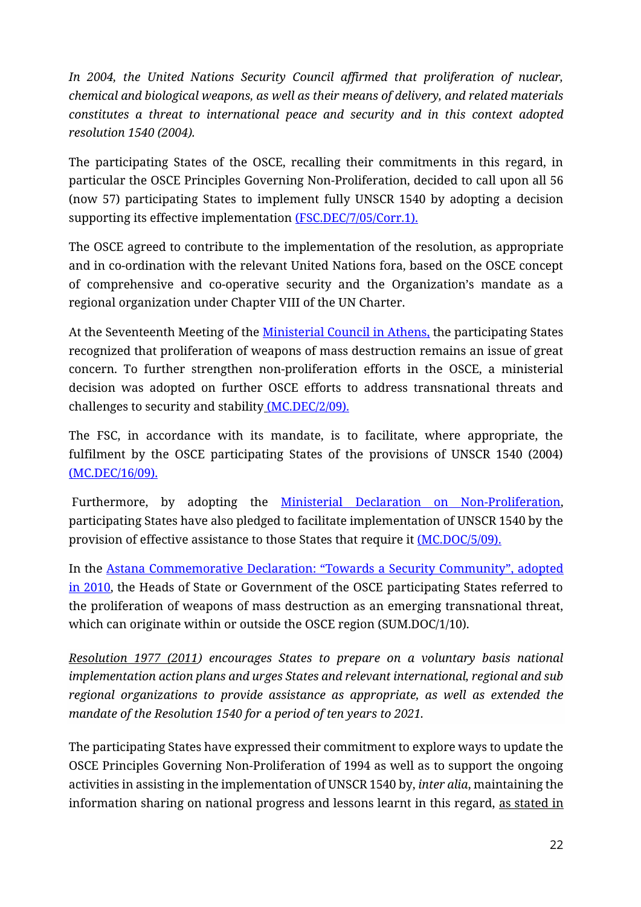*In 2004, the United Nations Security Council affirmed that proliferation of nuclear, chemical and biological weapons, as well as their means of delivery, and related materials constitutes a threat to international peace and security and in this context adopted resolution 1540 (2004).* 

The participating States of the OSCE, recalling their commitments in this regard, in particular the OSCE Principles Governing Non-Proliferation, decided to call upon all 56 (now 57) participating States to implement fully UNSCR 1540 by adopting a decision supporting its effective implementation [\(FSC.DEC/7/05/Corr.1\).](https://www.osce.org/files/f/documents/4/4/17396.pdf)

The OSCE agreed to contribute to the implementation of the resolution, as appropriate and in co-ordination with the relevant United Nations fora, based on the OSCE concept of comprehensive and co-operative security and the Organization's mandate as a regional organization under Chapter VIII of the UN Charter.

At the Seventeenth Meeting of the [Ministerial Council in Athens,](https://www.osce.org/files/f/documents/b/5/67621.pdf) the participating States recognized that proliferation of weapons of mass destruction remains an issue of great concern. To further strengthen non-proliferation efforts in the OSCE, a ministerial decision was adopted on further OSCE efforts to address transnational threats and challenges to security and stability [\(MC.DEC/2/09\).](https://www.osce.org/files/f/documents/d/5/40713.pdf)

The FSC, in accordance with its mandate, is to facilitate, where appropriate, the fulfilment by the OSCE participating States of the provisions of UNSCR 1540 (2004) [\(MC.DEC/16/09\).](https://www.osce.org/files/f/documents/4/2/40698.pdf)

Furthermore, by adopting the **Ministerial Declaration on Non-Proliferation**, participating States have also pledged to facilitate implementation of UNSCR 1540 by the provision of effective assistance to those States that require it [\(MC.DOC/5/09\).](https://www.osce.org/files/f/documents/5/f/40692.pdf)

In the [Astana Commemorative Declaration: "Towards a Security Community", adopted](https://www.osce.org/files/f/documents/b/6/74985.pdf)  [in 2010,](https://www.osce.org/files/f/documents/b/6/74985.pdf) the Heads of State or Government of the OSCE participating States referred to the proliferation of weapons of mass destruction as an emerging transnational threat, which can originate within or outside the OSCE region (SUM.DOC/1/10).

*Resolution 1977 (2011) encourages States to prepare on a voluntary basis national implementation action plans and urges States and relevant international, regional and sub regional organizations to provide assistance as appropriate, as well as extended the mandate of the Resolution 1540 for a period of ten years to 2021.*

The participating States have expressed their commitment to explore ways to update the OSCE Principles Governing Non-Proliferation of 1994 as well as to support the ongoing activities in assisting in the implementation of UNSCR 1540 by, *inter alia*, maintaining the information sharing on national progress and lessons learnt in this regard, as stated in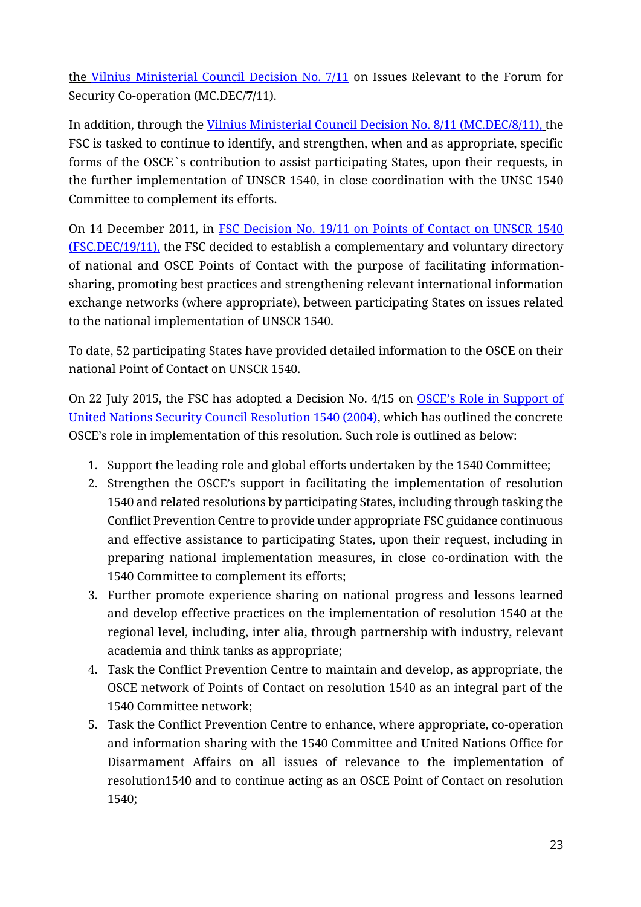the [Vilnius Ministerial Council Decision No. 7/11](https://www.osce.org/files/f/documents/7/d/86531.pdf) on Issues Relevant to the Forum for Security Co-operation (MC.DEC/**7/**11).

In addition, through the [Vilnius Ministerial Council Decision No. 8/11 \(MC.DEC/8/11\),](https://www.osce.org/files/f/documents/2/c/86082.pdf) the FSC is tasked to continue to identify, and strengthen, when and as appropriate, specific forms of the OSCE`s contribution to assist participating States, upon their requests, in the further implementation of UNSCR 1540, in close coordination with the UNSC 1540 Committee to complement its efforts.

On 14 December 2011, in [FSC Decision No. 19/11 on Points of Contact on UNSCR 1540](https://www2.osce.org/files/f/documents/f/e/86570.pdf)  [\(FSC.DEC/19/11\),](https://www2.osce.org/files/f/documents/f/e/86570.pdf) the FSC decided to establish a complementary and voluntary directory of national and OSCE Points of Contact with the purpose of facilitating informationsharing, promoting best practices and strengthening relevant international information exchange networks (where appropriate), between participating States on issues related to the national implementation of UNSCR 1540.

To date, 52 participating States have provided detailed information to the OSCE on their national Point of Contact on UNSCR 1540.

On 22 July 2015, the FSC has adopted a Decision No. 4/15 on [OSCE's Role in Support of](https://www.osce.org/files/f/documents/a/9/175471.pdf)  [United Nations Security Council Resolution 1540 \(2004\),](https://www.osce.org/files/f/documents/a/9/175471.pdf) which has outlined the concrete OSCE's role in implementation of this resolution. Such role is outlined as below:

- 1. Support the leading role and global efforts undertaken by the 1540 Committee;
- 2. Strengthen the OSCE's support in facilitating the implementation of resolution 1540 and related resolutions by participating States, including through tasking the Conflict Prevention Centre to provide under appropriate FSC guidance continuous and effective assistance to participating States, upon their request, including in preparing national implementation measures, in close co-ordination with the 1540 Committee to complement its efforts;
- 3. Further promote experience sharing on national progress and lessons learned and develop effective practices on the implementation of resolution 1540 at the regional level, including, inter alia, through partnership with industry, relevant academia and think tanks as appropriate;
- 4. Task the Conflict Prevention Centre to maintain and develop, as appropriate, the OSCE network of Points of Contact on resolution 1540 as an integral part of the 1540 Committee network;
- 5. Task the Conflict Prevention Centre to enhance, where appropriate, co-operation and information sharing with the 1540 Committee and United Nations Office for Disarmament Affairs on all issues of relevance to the implementation of resolution1540 and to continue acting as an OSCE Point of Contact on resolution 1540;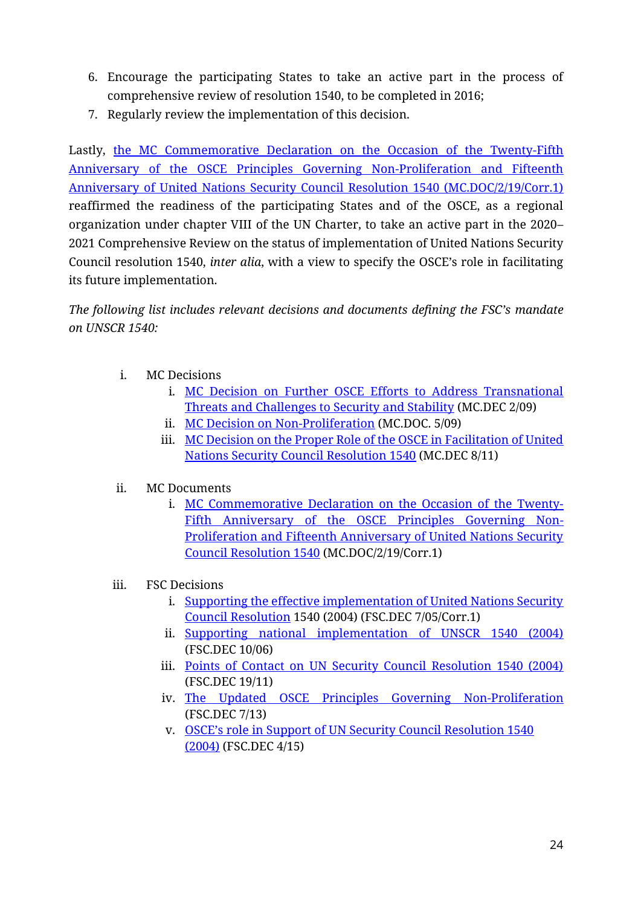- 6. Encourage the participating States to take an active part in the process of comprehensive review of resolution 1540, to be completed in 2016;
- 7. Regularly review the implementation of this decision.

Lastly, the MC Commemorative Declaration on the Occasion of the Twenty-Fifth [Anniversary of the OSCE Principles Governing Non-Proliferation and Fifteenth](https://www.osce.org/files/f/documents/1/c/444979.pdf)  [Anniversary of United Nations Security Council Resolution 1540 \(MC.DOC/2/19/Corr.1\)](https://www.osce.org/files/f/documents/1/c/444979.pdf) reaffirmed the readiness of the participating States and of the OSCE, as a regional organization under chapter VIII of the UN Charter, to take an active part in the 2020– 2021 Comprehensive Review on the status of implementation of United Nations Security Council resolution 1540, *inter alia*, with a view to specify the OSCE's role in facilitating its future implementation.

*The following list includes relevant decisions and documents defining the FSC's mandate on UNSCR 1540:*

- i. MC Decisions
	- i. [MC Decision on Further OSCE Efforts to Address Transnational](https://www.osce.org/files/f/documents/d/5/40713.pdf)  [Threats and Challenges to Security and Stability](https://www.osce.org/files/f/documents/d/5/40713.pdf) (MC.DEC 2/09)
	- ii. [MC Decision on Non-Proliferation](https://www.osce.org/cio/40692) (MC.DOC. 5/09)
	- iii. MC Decision on the Proper Role of the OSCE in Facilitation of United [Nations Security Council Resolution 1540](https://www.osce.org/files/f/documents/2/c/86082.pdf) (MC.DEC 8/11)
- ii. MC Documents
	- i. [MC Commemorative Declaration on the Occasion of the Twenty-](https://www.osce.org/files/f/documents/1/c/444979.pdf)[Fifth Anniversary of the OSCE Principles Governing Non-](https://www.osce.org/files/f/documents/1/c/444979.pdf)[Proliferation and Fifteenth Anniversary of United Nations Security](https://www.osce.org/files/f/documents/1/c/444979.pdf)  [Council Resolution 1540](https://www.osce.org/files/f/documents/1/c/444979.pdf) (MC.DOC/2/19/Corr.1)
- iii. FSC Decisions
	- i. [Supporting the effective implementation of United Nations Security](https://www.osce.org/fsc/17396)  [Council Resolution](https://www.osce.org/fsc/17396) 1540 (2004) (FSC.DEC 7/05/Corr.1)
	- ii. [Supporting national implementation of UNSCR 1540 \(2004\)](https://www.osce.org/files/f/documents/3/9/22712.pdf) (FSC.DEC 10/06)
	- iii. [Points of Contact on UN Security Council Resolution 1540 \(2004\)](https://www.osce.org/fsc/86570) (FSC.DEC 19/11)
	- iv. [The Updated OSCE Principles Governing Non-Proliferation](https://www.osce.org/fsc/109245) (FSC.DEC 7/13)
	- v. [OSCE's role in Support of UN Security Council Resolution 1540](https://www.osce.org/fsc/175471)  [\(2004\)](https://www.osce.org/fsc/175471) (FSC.DEC 4/15)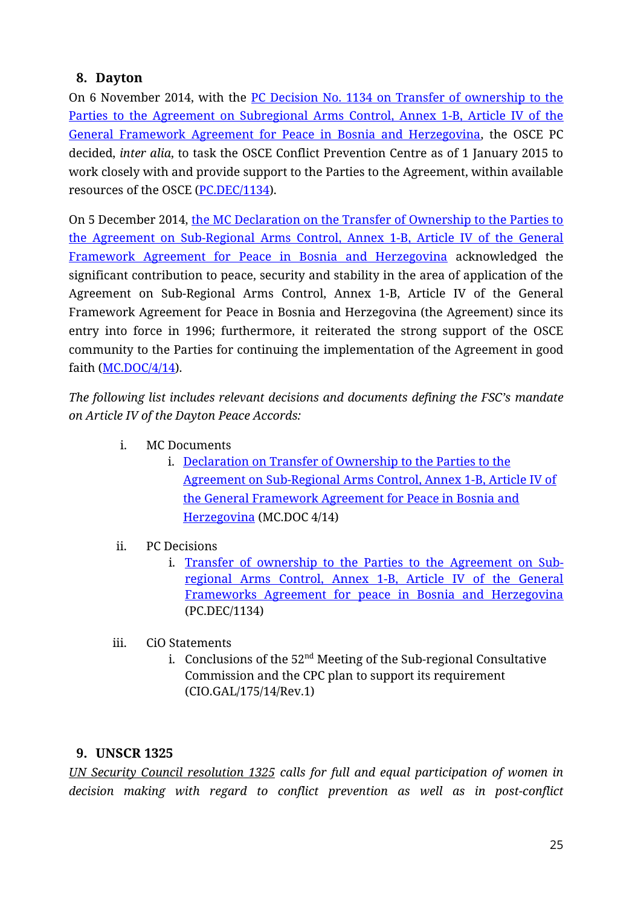## <span id="page-24-0"></span>**8. Dayton**

On 6 November 2014, with the [PC Decision No. 1134 on Transfer of ownership to the](https://www.osce.org/files/f/documents/0/8/126895.pdf)  [Parties to the Agreement on Subregional Arms Control, Annex 1-B, Article IV of the](https://www.osce.org/files/f/documents/0/8/126895.pdf)  [General Framework Agreement for Peace in Bosnia and Herzegovina,](https://www.osce.org/files/f/documents/0/8/126895.pdf) the OSCE PC decided, *inter alia*, to task the OSCE Conflict Prevention Centre as of 1 January 2015 to work closely with and provide support to the Parties to the Agreement, within available resources of the OSCE [\(PC.DEC/1134\)](https://www.osce.org/files/f/documents/0/8/126895.pdf).

On 5 December 2014, [the MC Declaration on the Transfer of Ownership to the Parties to](https://www.osce.org/files/f/documents/b/e/130541.pdf)  [the Agreement on Sub-Regional Arms Control, Annex 1-B, Article IV of the General](https://www.osce.org/files/f/documents/b/e/130541.pdf)  [Framework Agreement for Peace in Bosnia and Herzegovina](https://www.osce.org/files/f/documents/b/e/130541.pdf) acknowledged the significant contribution to peace, security and stability in the area of application of the Agreement on Sub-Regional Arms Control, Annex 1-B, Article IV of the General Framework Agreement for Peace in Bosnia and Herzegovina (the Agreement) since its entry into force in 1996; furthermore, it reiterated the strong support of the OSCE community to the Parties for continuing the implementation of the Agreement in good faith  $(MC, DOC/4/14)$ .

*The following list includes relevant decisions and documents defining the FSC's mandate on Article IV of the Dayton Peace Accords:*

- i. MC Documents
	- i. [Declaration on Transfer of Ownership to the Parties to the](https://www.osce.org/mc/130541)  [Agreement on Sub-Regional Arms Control, Annex 1-B, Article IV of](https://www.osce.org/mc/130541)  [the General Framework Agreement for Peace in Bosnia and](https://www.osce.org/mc/130541)  [Herzegovina](https://www.osce.org/mc/130541) (MC.DOC 4/14)
- ii. PC Decisions
	- i. [Transfer of ownership to the Parties to the Agreement on Sub](https://www.osce.org/pc/126895)[regional Arms Control, Annex 1-B, Article IV of the General](https://www.osce.org/pc/126895)  [Frameworks Agreement for peace in Bosnia and Herzegovina](https://www.osce.org/pc/126895) (PC.DEC/1134)
- iii. CiO Statements
	- i. Conclusions of the  $52<sup>nd</sup>$  Meeting of the Sub-regional Consultative Commission and the CPC plan to support its requirement (CIO.GAL/175/14/Rev.1)

## <span id="page-24-1"></span>**9. UNSCR 1325**

*UN Security Council resolution 1325 calls for full and equal participation of women in decision making with regard to conflict prevention as well as in post-conflict*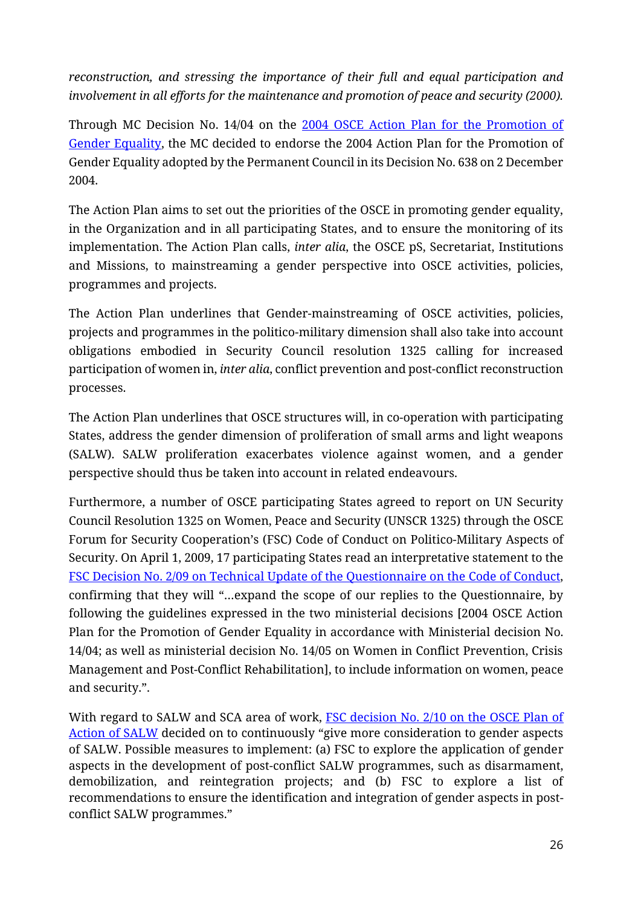*reconstruction, and stressing the importance of their full and equal participation and involvement in all efforts for the maintenance and promotion of peace and security (2000).*

Through MC Decision No. 14/04 on the [2004 OSCE Action Plan for the Promotion of](https://www.osce.org/files/f/documents/7/d/23295.pdf)  [Gender Equality,](https://www.osce.org/files/f/documents/7/d/23295.pdf) the MC decided to endorse the 2004 Action Plan for the Promotion of Gender Equality adopted by the Permanent Council in its Decision No. 638 on 2 December 2004.

The Action Plan aims to set out the priorities of the OSCE in promoting gender equality, in the Organization and in all participating States, and to ensure the monitoring of its implementation. The Action Plan calls, *inter alia*, the OSCE pS, Secretariat, Institutions and Missions, to mainstreaming a gender perspective into OSCE activities, policies, programmes and projects.

The Action Plan underlines that Gender-mainstreaming of OSCE activities, policies, projects and programmes in the politico-military dimension shall also take into account obligations embodied in Security Council resolution 1325 calling for increased participation of women in, *inter alia*, conflict prevention and post-conflict reconstruction processes.

The Action Plan underlines that OSCE structures will, in co-operation with participating States, address the gender dimension of proliferation of small arms and light weapons (SALW). SALW proliferation exacerbates violence against women, and a gender perspective should thus be taken into account in related endeavours.

Furthermore, a number of OSCE participating States agreed to report on UN Security Council Resolution 1325 on Women, Peace and Security (UNSCR 1325) through the OSCE Forum for Security Cooperation's (FSC) Code of Conduct on Politico-Military Aspects of Security. On April 1, 2009, 17 participating States read an interpretative statement to the [FSC Decision No. 2/09 on Technical Update of the Questionnaire on the Code of Conduct,](https://www2.osce.org/files/f/documents/9/0/36748.pdf) confirming that they will "…expand the scope of our replies to the Questionnaire, by following the guidelines expressed in the two ministerial decisions [2004 OSCE Action Plan for the Promotion of Gender Equality in accordance with Ministerial decision No. 14/04; as well as ministerial decision No. 14/05 on Women in Conflict Prevention, Crisis Management and Post-Conflict Rehabilitation], to include information on women, peace and security.".

With regard to SALW and SCA area of work, [FSC decision No. 2/10 on the OSCE Plan of](https://www.osce.org/fsc/68450)  [Action of SALW](https://www.osce.org/fsc/68450) decided on to continuously "give more consideration to gender aspects of SALW. Possible measures to implement: (a) FSC to explore the application of gender aspects in the development of post-conflict SALW programmes, such as disarmament, demobilization, and reintegration projects; and (b) FSC to explore a list of recommendations to ensure the identification and integration of gender aspects in postconflict SALW programmes."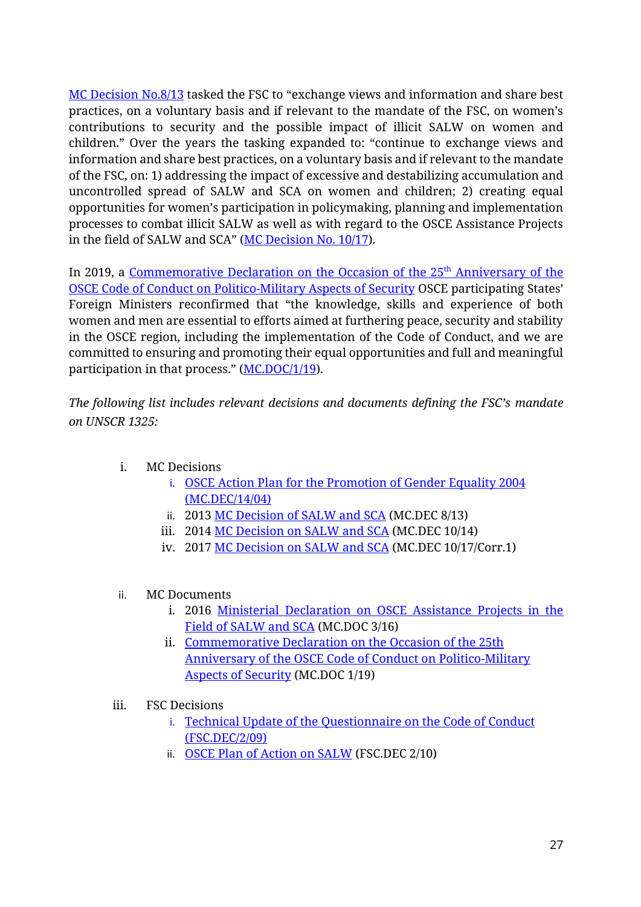[MC Decision No.8/13](https://www.osce.org/mc/109343) tasked the FSC to "exchange views and information and share best practices, on a voluntary basis and if relevant to the mandate of the FSC, on women's contributions to security and the possible impact of illicit SALW on women and children." Over the years the tasking expanded to: "continue to exchange views and information and share best practices, on a voluntary basis and if relevant to the mandate of the FSC, on: 1) addressing the impact of excessive and destabilizing accumulation and uncontrolled spread of SALW and SCA on women and children; 2) creating equal opportunities for women's participation in policymaking, planning and implementation processes to combat illicit SALW as well as with regard to the OSCE Assistance Projects in the field of SALW and SCA" ([MC Decision No. 10/17\)](https://www.osce.org/chairmanship/361581).

In 2019, a Commemorative Declaration on the Occasion of the  $25<sup>th</sup>$  Anniversary of the [OSCE Code of Conduct on Politico-Military Aspects of Security](https://www.osce.org/ministerial-councils/441521) OSCE participating States' Foreign Ministers reconfirmed that "the knowledge, skills and experience of both women and men are essential to efforts aimed at furthering peace, security and stability in the OSCE region, including the implementation of the Code of Conduct, and we are committed to ensuring and promoting their equal opportunities and full and meaningful participation in that process." ([MC.DOC/1/19\)](https://www.osce.org/files/f/documents/f/2/441521.pdf).

*The following list includes relevant decisions and documents defining the FSC's mandate on UNSCR 1325:*

- i. MC Decisions
	- i. [OSCE Action Plan for the Promotion of Gender Equality 2004](https://www.osce.org/mc/23295) (MC.DEC/14/04)
	- ii. 2013 [MC Decision of SALW and SCA](https://www.osce.org/mc/109343) (MC.DEC 8/13)
	- iii. 2014 [MC Decision on SALW and SCA](https://www.osce.org/mc/130391) (MC.DEC 10/14)
	- iv. 2017 [MC Decision on SALW and SCA](https://www.osce.org/chairmanship/361581) (MC.DEC 10/17/Corr.1)
- ii. MC Documents
	- i. 2016 [Ministerial Declaration on OSCE Assistance Projects in the](https://www.osce.org/cio/288201)  [Field of SALW and SCA](https://www.osce.org/cio/288201) (MC.DOC 3/16)
	- ii. [Commemorative Declaration on the Occasion of the 25th](https://www.osce.org/ministerial-councils/441521)  [Anniversary of the OSCE Code of Conduct on Politico-Military](https://www.osce.org/ministerial-councils/441521)  [Aspects of Security](https://www.osce.org/ministerial-councils/441521) (MC.DOC 1/19)
- iii. FSC Decisions
	- i. [Technical Update of the Questionnaire on the Code of Conduct](https://www2.osce.org/files/f/documents/9/0/36748.pdf) (FSC.DEC/2/09)
	- ii. [OSCE Plan of Action on SALW](https://www.osce.org/fsc/68450) (FSC.DEC 2/10)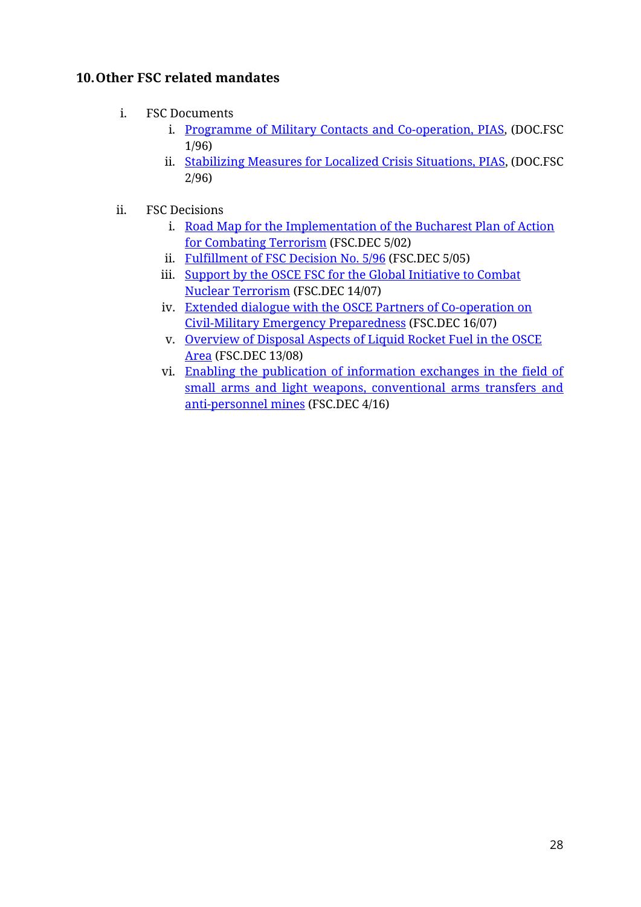## <span id="page-27-0"></span>**10.Other FSC related mandates**

- i. FSC Documents
	- i. [Programme of Military Contacts and Co-operation, PIAS,](https://www.osce.org/files/f/documents/f/3/41295.pdf) (DOC.FSC 1/96)
	- ii. [Stabilizing Measures for Localized Crisis Situations, PIAS,](https://www.osce.org/files/f/documents/e/f/41316.pdf) (DOC.FSC 2/96)
- ii. FSC Decisions
	- i. Road Map for the Implementation of the Bucharest Plan of Action [for Combating Terrorism](https://www.osce.org/files/f/documents/f/9/16091.pdf) (FSC.DEC 5/02)
	- ii. [Fulfillment of FSC Decision No. 5/96](https://www.osce.org/fsc/17012) (FSC.DEC 5/05)
	- iii. Support by the OSCE FSC for the Global Initiative to Combat [Nuclear Terrorism](https://www.osce.org/files/f/documents/6/a/28987.pdf) (FSC.DEC 14/07)
	- iv. [Extended dialogue with the OSCE Partners of Co-operation on](https://www.osce.org/fsc/29000)  [Civil-Military Emergency Preparedness](https://www.osce.org/fsc/29000) (FSC.DEC 16/07)
	- v. [Overview of Disposal Aspects of Liquid Rocket Fuel](https://www.osce.org/fsc/34919) in the OSCE [Area](https://www.osce.org/fsc/34919) (FSC.DEC 13/08)
	- vi. [Enabling the publication of information exchanges in the field of](https://www.osce.org/fsc/268791)  [small arms and light weapons, conventional arms transfers and](https://www.osce.org/fsc/268791)  [anti-personnel mines](https://www.osce.org/fsc/268791) (FSC.DEC 4/16)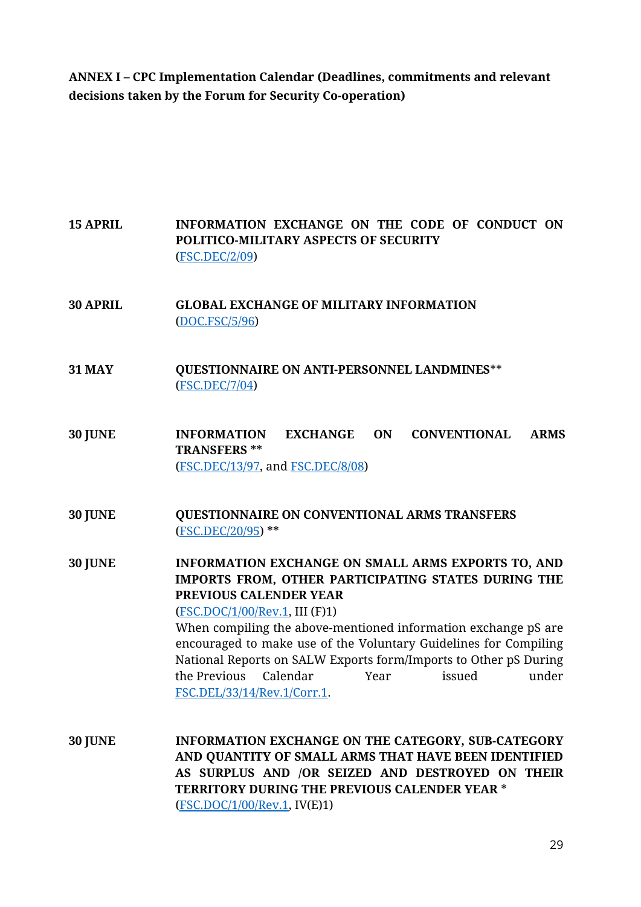<span id="page-28-0"></span>**ANNEX I – CPC Implementation Calendar (Deadlines, commitments and relevant decisions taken by the Forum for Security Co-operation)**

**15 APRIL INFORMATION EXCHANGE ON THE CODE OF CONDUCT ON POLITICO-MILITARY ASPECTS OF SECURITY** [\(FSC.DEC/2/09\)](https://www.osce.org/fsc/36748?download=true) **30 APRIL GLOBAL EXCHANGE OF MILITARY INFORMATION**  [\(DOC.FSC/5/96\)](https://www.osce.org/fsc/41384?download=true) **31 MAY QUESTIONNAIRE ON ANTI-PERSONNEL LANDMINES**\*\* [\(FSC.DEC/7/04\)](https://www.osce.org/fsc/18346?download=true) **30 JUNE INFORMATION EXCHANGE ON CONVENTIONAL ARMS TRANSFERS** \*\* [\(FSC.DEC/13/97,](https://www.osce.org/files/f/documents/8/3/453696.pdf) and [FSC.DEC/8/08\)](https://www.osce.org/fsc/32830?download=true) **30 JUNE QUESTIONNAIRE ON CONVENTIONAL ARMS TRANSFERS**  [\(FSC.DEC/20/95\)](https://www.osce.org/fsc/42383?download=true) \*\* **30 JUNE INFORMATION EXCHANGE ON SMALL ARMS EXPORTS TO, AND IMPORTS FROM, OTHER PARTICIPATING STATES DURING THE PREVIOUS CALENDER YEAR** [\(FSC.DOC/1/00/Rev.1,](https://www.osce.org/fsc/20783?download=true) III (F)1) When compiling the above-mentioned information exchange pS are encouraged to make use of the Voluntary Guidelines for Compiling National Reports on SALW Exports form/Imports to Other pS During the Previous Calendar Year issued under [FSC.DEL/33/14/Rev.1/Corr.1.](https://docin.osce.org/docin/llisapi.dll/fetch/2000/107257/202451/23939357/23971910/FSC.DEL_0033_14_Rev.1_Corr.1_-_Voluntary_Guidelines_for_Compiling_National_Reports_on_SALW_Exports_From__Imports_to_Other_PS_During_the_Previous_Calendar_Year.pdf?nodeid=24149351&vernum=-2) **30 JUNE INFORMATION EXCHANGE ON THE CATEGORY, SUB-CATEGORY AND QUANTITY OF SMALL ARMS THAT HAVE BEEN IDENTIFIED AS SURPLUS AND /OR SEIZED AND DESTROYED ON THEIR** 

> **TERRITORY DURING THE PREVIOUS CALENDER YEAR** \* [\(FSC.DOC/1/00/Rev.1,](https://www.osce.org/fsc/20783?download=true) IV(E)1)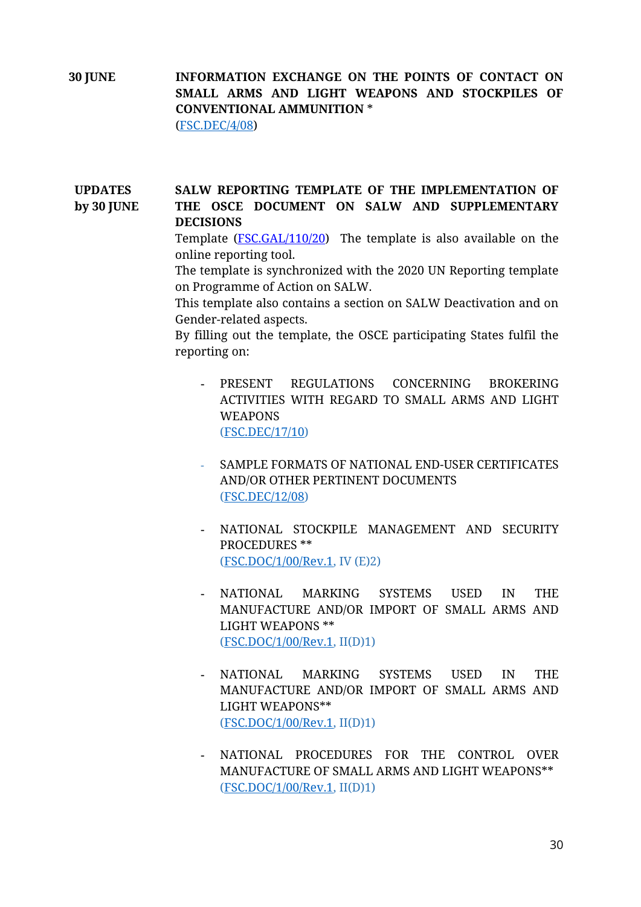**30 JUNE INFORMATION EXCHANGE ON THE POINTS OF CONTACT ON SMALL ARMS AND LIGHT WEAPONS AND STOCKPILES OF CONVENTIONAL AMMUNITION** \* [\(FSC.DEC/4/08\)](https://www.osce.org/fsc/31785?download=true)

#### **UPDATES by 30 JUNE**  SALW REPORTING TEMPLATE OF THE IMPLEMENTATION OF **THE OSCE DOCUMENT ON SALW AND SUPPLEMENTARY DECISIONS**

Template [\(FSC.GAL/110/20\)](https://docin.osce.org/docin/llisapi.dll/fetch/2000/107257/202451/26054650/26076026/FSC.GAL_0110_20_-_Updated_Reporting_Template_for_the_Implementation_of_the_OSCE_Document_on_SALW_and_Supplementary_Decisions.pdf?nodeid=26466222&vernum=-2) The template is also available on the online reporting tool.

The template is synchronized with the 2020 UN Reporting template on Programme of Action on SALW.

This template also contains a section on SALW Deactivation and on Gender-related aspects.

By filling out the template, the OSCE participating States fulfil the reporting on:

- **-** PRESENT REGULATIONS CONCERNING BROKERING ACTIVITIES WITH REGARD TO SMALL ARMS AND LIGHT **WEAPONS** [\(FSC.DEC/17/10\)](https://www.osce.org/files/f/documents/3/5/73966.PDF)
- SAMPLE FORMATS OF NATIONAL END-USER CERTIFICATES AND/OR OTHER PERTINENT DOCUMENTS [\(FSC.DEC/12/08\)](https://www.osce.org/fsc/34913?download=true)
- **-** NATIONAL STOCKPILE MANAGEMENT AND SECURITY PROCEDURES \*\* [\(FSC.DOC/1/00/Rev.1,](https://www.osce.org/fsc/20783?download=true) IV (E)2)
- **-** NATIONAL MARKING SYSTEMS USED IN THE MANUFACTURE AND/OR IMPORT OF SMALL ARMS AND LIGHT WEAPONS \*\* [\(FSC.DOC/1/00/Rev.1,](https://www.osce.org/fsc/20783?download=true) II(D)1)
- **-** NATIONAL MARKING SYSTEMS USED IN THE MANUFACTURE AND/OR IMPORT OF SMALL ARMS AND LIGHT WEAPONS\*\* [\(FSC.DOC/1/00/Rev.1,](https://www.osce.org/fsc/20783?download=true) II(D)1)
- **-** NATIONAL PROCEDURES FOR THE CONTROL OVER MANUFACTURE OF SMALL ARMS AND LIGHT WEAPONS\*\* [\(FSC.DOC/1/00/Rev.1,](https://www.osce.org/fsc/20783?download=true) II(D)1)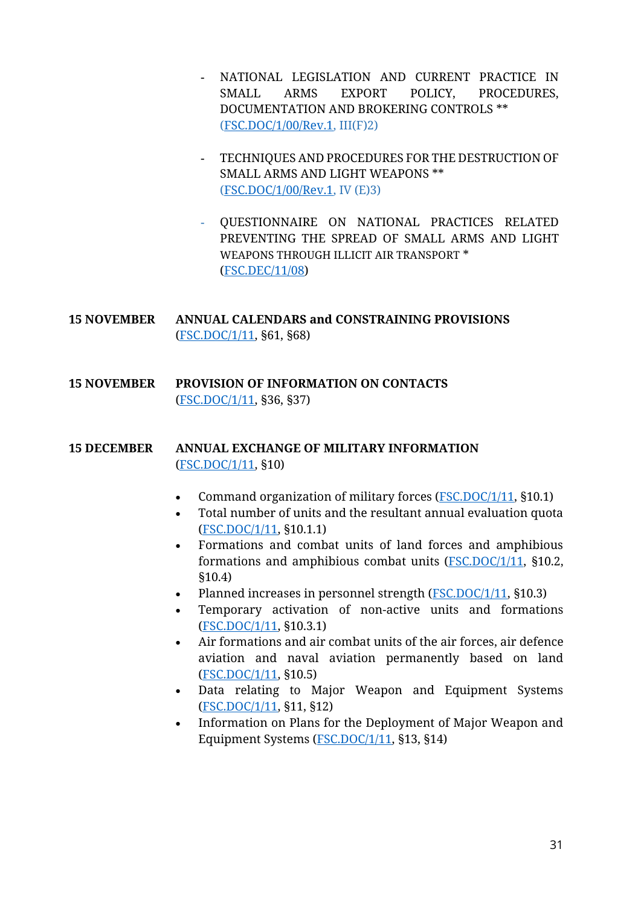- **-** NATIONAL LEGISLATION AND CURRENT PRACTICE IN SMALL ARMS EXPORT POLICY, PROCEDURES, DOCUMENTATION AND BROKERING CONTROLS \*\* [\(FSC.DOC/1/00/Rev.1,](https://www.osce.org/fsc/20783?download=true) III(F)2)
- **-** TECHNIQUES AND PROCEDURES FOR THE DESTRUCTION OF SMALL ARMS AND LIGHT WEAPONS \*\* [\(FSC.DOC/1/00/Rev.1,](https://www.osce.org/fsc/20783?download=true) IV (E)3)
- **-** QUESTIONNAIRE ON NATIONAL PRACTICES RELATED PREVENTING THE SPREAD OF SMALL ARMS AND LIGHT WEAPONS THROUGH ILLICIT AIR TRANSPORT \* [\(FSC.DEC/11/08\)](https://www.osce.org/fsc/34865?download=true)
- **15 NOVEMBER ANNUAL CALENDARS and CONSTRAINING PROVISIONS** [\(FSC.DOC/1/11,](https://www.osce.org/fsc/86597?download=true) §61, §68)
- **15 NOVEMBER PROVISION OF INFORMATION ON CONTACTS** [\(FSC.DOC/1/11,](https://www.osce.org/fsc/86597?download=true) §36, §37)

#### **15 DECEMBER ANNUAL EXCHANGE OF MILITARY INFORMATION** [\(FSC.DOC/1/11,](https://www.osce.org/fsc/86597?download=true) §10)

- Command organization of military forces [\(FSC.DOC/1/11,](https://www.osce.org/fsc/86597?download=true) §10.1)
- Total number of units and the resultant annual evaluation quota [\(FSC.DOC/1/11,](https://www.osce.org/fsc/86597?download=true) §10.1.1)
- Formations and combat units of land forces and amphibious formations and amphibious combat units [\(FSC.DOC/1/11,](https://www.osce.org/fsc/86597?download=true) §10.2, §10.4)
- Planned increases in personnel strength [\(FSC.DOC/1/11,](https://www.osce.org/fsc/86597?download=true) §10.3)
- Temporary activation of non-active units and formations [\(FSC.DOC/1/11,](https://www.osce.org/fsc/86597?download=true) §10.3.1)
- Air formations and air combat units of the air forces, air defence aviation and naval aviation permanently based on land [\(FSC.DOC/1/11,](https://www.osce.org/fsc/86597?download=true) §10.5)
- Data relating to Major Weapon and Equipment Systems [\(FSC.DOC/1/11,](https://www.osce.org/fsc/86597?download=true) §11, §12)
- Information on Plans for the Deployment of Major Weapon and Equipment Systems [\(FSC.DOC/1/11,](https://www.osce.org/fsc/86597?download=true) §13, §14)